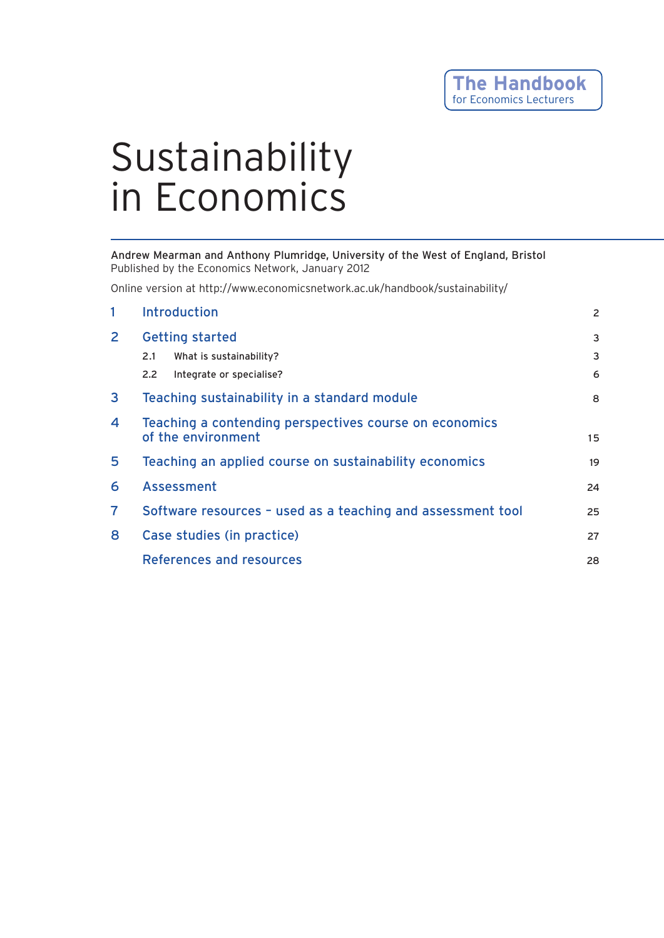# Sustainability in Economics

Andrew Mearman and Anthony Plumridge, University of the West of England, Bristol Published by the Economics Network, January 2012

Online version at http://www.economicsnetwork.ac.uk/handbook/sustainability/

| 1              | <b>Introduction</b>                                                          | $\overline{2}$ |
|----------------|------------------------------------------------------------------------------|----------------|
| $\mathbf{2}$   | <b>Getting started</b>                                                       | 3              |
|                | What is sustainability?<br>2.1                                               | 3              |
|                | Integrate or specialise?<br>$2.2^{\circ}$                                    | 6              |
| $\mathbf{3}$   | Teaching sustainability in a standard module                                 | 8              |
| 4              | Teaching a contending perspectives course on economics<br>of the environment |                |
| 5              | Teaching an applied course on sustainability economics                       | 19             |
| 6              | Assessment                                                                   | 24             |
| $\overline{7}$ | Software resources - used as a teaching and assessment tool                  |                |
| 8              | Case studies (in practice)                                                   | 27             |
|                | References and resources                                                     | 28             |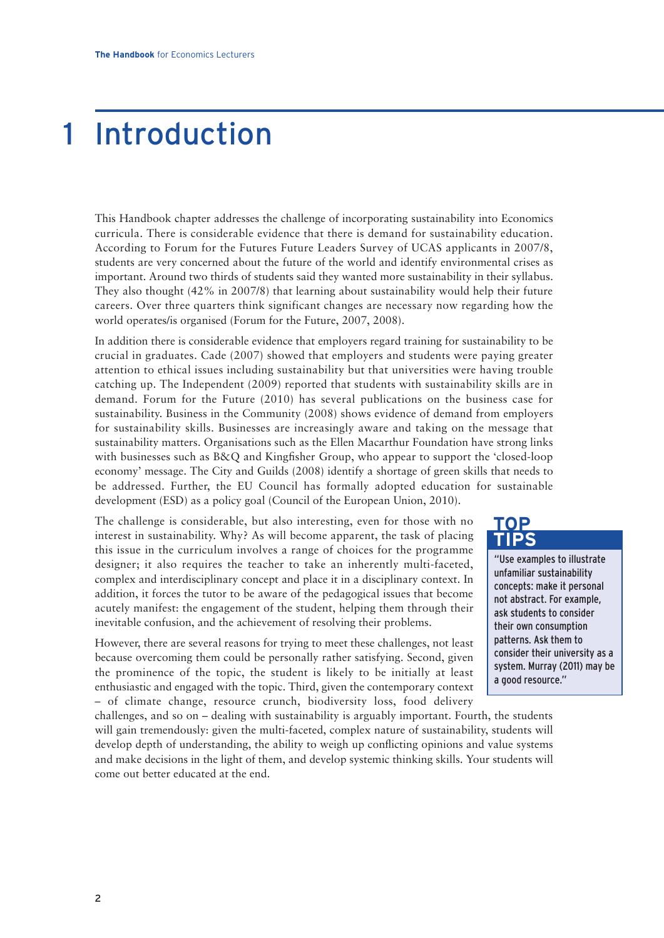# 1 Introduction

This Handbook chapter addresses the challenge of incorporating sustainability into Economics curricula. There is considerable evidence that there is demand for sustainability education. According to Forum for the Futures Future Leaders Survey of UCAS applicants in 2007/8, students are very concerned about the future of the world and identify environmental crises as important. Around two thirds of students said they wanted more sustainability in their syllabus. They also thought (42% in 2007/8) that learning about sustainability would help their future careers. Over three quarters think significant changes are necessary now regarding how the world operates/is organised (Forum for the Future, 2007, 2008).

In addition there is considerable evidence that employers regard training for sustainability to be crucial in graduates. Cade (2007) showed that employers and students were paying greater attention to ethical issues including sustainability but that universities were having trouble catching up. The Independent (2009) reported that students with sustainability skills are in demand. Forum for the Future (2010) has several publications on the business case for sustainability. Business in the Community (2008) shows evidence of demand from employers for sustainability skills. Businesses are increasingly aware and taking on the message that sustainability matters. Organisations such as the Ellen Macarthur Foundation have strong links with businesses such as B&Q and Kingfisher Group, who appear to support the 'closed-loop economy' message. The City and Guilds (2008) identify a shortage of green skills that needs to be addressed. Further, the EU Council has formally adopted education for sustainable development (ESD) as a policy goal (Council of the European Union, 2010).

The challenge is considerable, but also interesting, even for those with no interest in sustainability. Why? As will become apparent, the task of placing this issue in the curriculum involves a range of choices for the programme designer; it also requires the teacher to take an inherently multi-faceted, complex and interdisciplinary concept and place it in a disciplinary context. In addition, it forces the tutor to be aware of the pedagogical issues that become acutely manifest: the engagement of the student, helping them through their inevitable confusion, and the achievement of resolving their problems.

However, there are several reasons for trying to meet these challenges, not least because overcoming them could be personally rather satisfying. Second, given the prominence of the topic, the student is likely to be initially at least enthusiastic and engaged with the topic. Third, given the contemporary context – of climate change, resource crunch, biodiversity loss, food delivery

challenges, and so on – dealing with sustainability is arguably important. Fourth, the students will gain tremendously: given the multi-faceted, complex nature of sustainability, students will develop depth of understanding, the ability to weigh up conflicting opinions and value systems and make decisions in the light of them, and develop systemic thinking skills. Your students will come out better educated at the end.



"Use examples to illustrate unfamiliar sustainability concepts: make it personal not abstract. For example, ask students to consider their own consumption patterns. Ask them to consider their university as a system. Murray (2011) may be a good resource."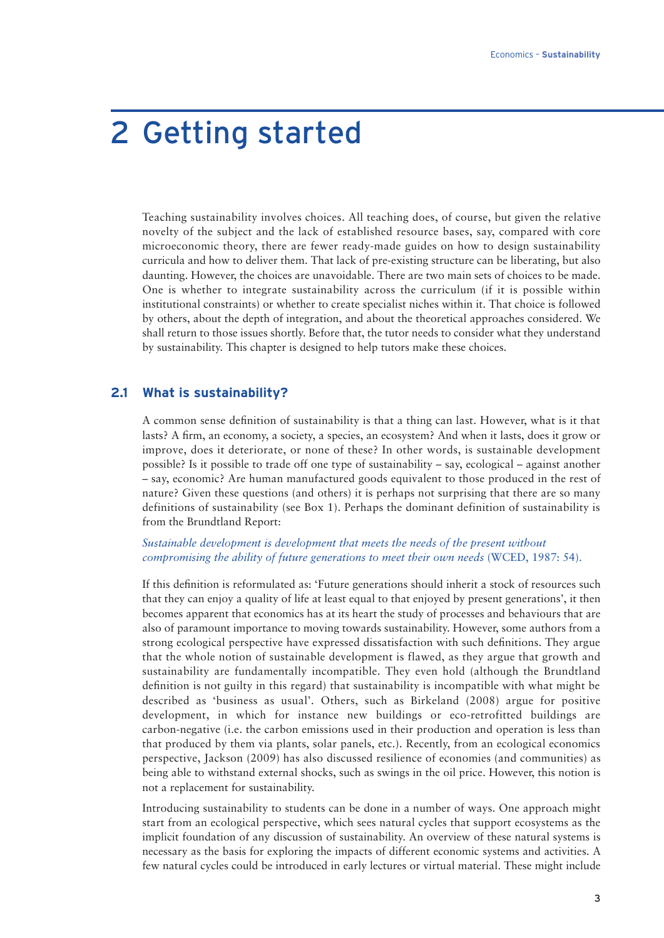# 2 Getting started

Teaching sustainability involves choices. All teaching does, of course, but given the relative novelty of the subject and the lack of established resource bases, say, compared with core microeconomic theory, there are fewer ready-made guides on how to design sustainability curricula and how to deliver them. That lack of pre-existing structure can be liberating, but also daunting. However, the choices are unavoidable. There are two main sets of choices to be made. One is whether to integrate sustainability across the curriculum (if it is possible within institutional constraints) or whether to create specialist niches within it. That choice is followed by others, about the depth of integration, and about the theoretical approaches considered. We shall return to those issues shortly. Before that, the tutor needs to consider what they understand by sustainability. This chapter is designed to help tutors make these choices.

### **2.1 What is sustainability?**

A common sense definition of sustainability is that a thing can last. However, what is it that lasts? A firm, an economy, a society, a species, an ecosystem? And when it lasts, does it grow or improve, does it deteriorate, or none of these? In other words, is sustainable development possible? Is it possible to trade off one type of sustainability – say, ecological – against another – say, economic? Are human manufactured goods equivalent to those produced in the rest of nature? Given these questions (and others) it is perhaps not surprising that there are so many definitions of sustainability (see Box 1). Perhaps the dominant definition of sustainability is from the Brundtland Report:

#### *Sustainable development is development that meets the needs of the present without compromising the ability of future generations to meet their own needs* (WCED, 1987: 54).

If this definition is reformulated as: 'Future generations should inherit a stock of resources such that they can enjoy a quality of life at least equal to that enjoyed by present generations', it then becomes apparent that economics has at its heart the study of processes and behaviours that are also of paramount importance to moving towards sustainability. However, some authors from a strong ecological perspective have expressed dissatisfaction with such definitions. They argue that the whole notion of sustainable development is flawed, as they argue that growth and sustainability are fundamentally incompatible. They even hold (although the Brundtland definition is not guilty in this regard) that sustainability is incompatible with what might be described as 'business as usual'. Others, such as Birkeland (2008) argue for positive development, in which for instance new buildings or eco-retrofitted buildings are carbon-negative (i.e. the carbon emissions used in their production and operation is less than that produced by them via plants, solar panels, etc.). Recently, from an ecological economics perspective, Jackson (2009) has also discussed resilience of economies (and communities) as being able to withstand external shocks, such as swings in the oil price. However, this notion is not a replacement for sustainability.

Introducing sustainability to students can be done in a number of ways. One approach might start from an ecological perspective, which sees natural cycles that support ecosystems as the implicit foundation of any discussion of sustainability. An overview of these natural systems is necessary as the basis for exploring the impacts of different economic systems and activities. A few natural cycles could be introduced in early lectures or virtual material. These might include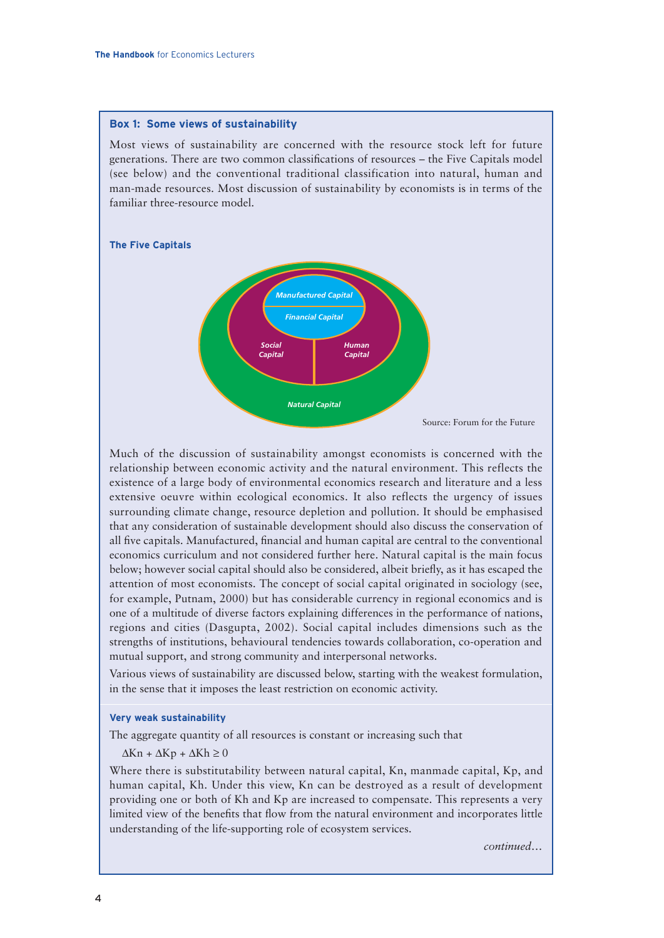#### **Box 1: Some views of sustainability**

Most views of sustainability are concerned with the resource stock left for future generations. There are two common classifications of resources – the Five Capitals model (see below) and the conventional traditional classification into natural, human and man-made resources. Most discussion of sustainability by economists is in terms of the familiar three-resource model.

#### **The Five Capitals**



Much of the discussion of sustainability amongst economists is concerned with the relationship between economic activity and the natural environment. This reflects the existence of a large body of environmental economics research and literature and a less extensive oeuvre within ecological economics. It also reflects the urgency of issues surrounding climate change, resource depletion and pollution. It should be emphasised that any consideration of sustainable development should also discuss the conservation of all five capitals. Manufactured, financial and human capital are central to the conventional economics curriculum and not considered further here. Natural capital is the main focus below; however social capital should also be considered, albeit briefly, as it has escaped the attention of most economists. The concept of social capital originated in sociology (see, for example, Putnam, 2000) but has considerable currency in regional economics and is one of a multitude of diverse factors explaining differences in the performance of nations, regions and cities (Dasgupta, 2002). Social capital includes dimensions such as the strengths of institutions, behavioural tendencies towards collaboration, co-operation and mutual support, and strong community and interpersonal networks.

Various views of sustainability are discussed below, starting with the weakest formulation, in the sense that it imposes the least restriction on economic activity.

#### **Very weak sustainability**

The aggregate quantity of all resources is constant or increasing such that

 $\Delta$ Kn +  $\Delta$ Kp +  $\Delta$ Kh ≥ 0

Where there is substitutability between natural capital, Kn, manmade capital, Kp, and human capital, Kh. Under this view, Kn can be destroyed as a result of development providing one or both of Kh and Kp are increased to compensate. This represents a very limited view of the benefits that flow from the natural environment and incorporates little understanding of the life-supporting role of ecosystem services.

*continued…*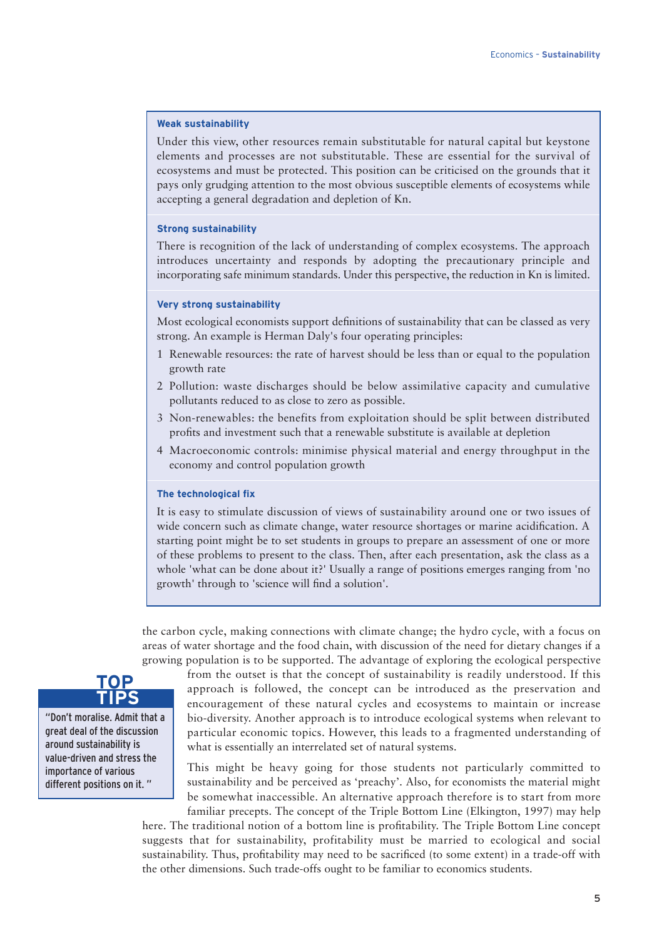#### **Weak sustainability**

Under this view, other resources remain substitutable for natural capital but keystone elements and processes are not substitutable. These are essential for the survival of ecosystems and must be protected. This position can be criticised on the grounds that it pays only grudging attention to the most obvious susceptible elements of ecosystems while accepting a general degradation and depletion of Kn.

#### **Strong sustainability**

There is recognition of the lack of understanding of complex ecosystems. The approach introduces uncertainty and responds by adopting the precautionary principle and incorporating safe minimum standards. Under this perspective, the reduction in Kn is limited.

#### **Very strong sustainability**

Most ecological economists support definitions of sustainability that can be classed as very strong. An example is Herman Daly's four operating principles:

- 1 Renewable resources: the rate of harvest should be less than or equal to the population growth rate
- 2 Pollution: waste discharges should be below assimilative capacity and cumulative pollutants reduced to as close to zero as possible.
- 3 Non-renewables: the benefits from exploitation should be split between distributed profits and investment such that a renewable substitute is available at depletion
- 4 Macroeconomic controls: minimise physical material and energy throughput in the economy and control population growth

#### **The technological fix**

It is easy to stimulate discussion of views of sustainability around one or two issues of wide concern such as climate change, water resource shortages or marine acidification. A starting point might be to set students in groups to prepare an assessment of one or more of these problems to present to the class. Then, after each presentation, ask the class as a whole 'what can be done about it?' Usually a range of positions emerges ranging from 'no growth' through to 'science will find a solution'.

the carbon cycle, making connections with climate change; the hydro cycle, with a focus on areas of water shortage and the food chain, with discussion of the need for dietary changes if a growing population is to be supported. The advantage of exploring the ecological perspective



"Don't moralise. Admit that a great deal of the discussion around sustainability is value-driven and stress the importance of various different positions on it. "

from the outset is that the concept of sustainability is readily understood. If this approach is followed, the concept can be introduced as the preservation and encouragement of these natural cycles and ecosystems to maintain or increase bio-diversity. Another approach is to introduce ecological systems when relevant to particular economic topics. However, this leads to a fragmented understanding of what is essentially an interrelated set of natural systems.

This might be heavy going for those students not particularly committed to sustainability and be perceived as 'preachy'. Also, for economists the material might be somewhat inaccessible. An alternative approach therefore is to start from more familiar precepts. The concept of the Triple Bottom Line (Elkington, 1997) may help

here. The traditional notion of a bottom line is profitability. The Triple Bottom Line concept suggests that for sustainability, profitability must be married to ecological and social sustainability. Thus, profitability may need to be sacrificed (to some extent) in a trade-off with the other dimensions. Such trade-offs ought to be familiar to economics students.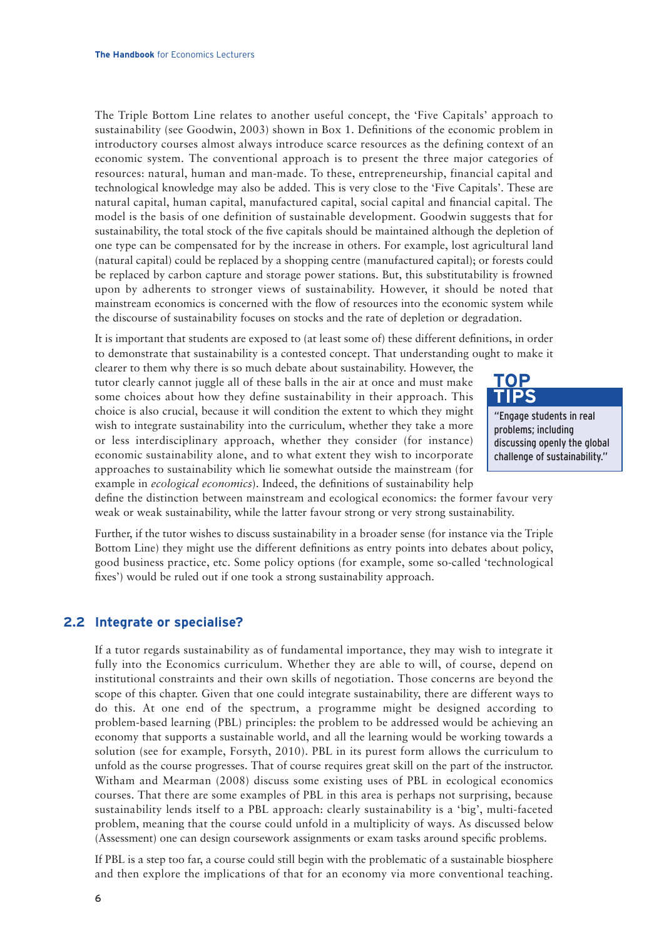The Triple Bottom Line relates to another useful concept, the 'Five Capitals' approach to sustainability (see Goodwin, 2003) shown in Box 1. Definitions of the economic problem in introductory courses almost always introduce scarce resources as the defining context of an economic system. The conventional approach is to present the three major categories of resources: natural, human and man-made. To these, entrepreneurship, financial capital and technological knowledge may also be added. This is very close to the 'Five Capitals'. These are natural capital, human capital, manufactured capital, social capital and financial capital. The model is the basis of one definition of sustainable development. Goodwin suggests that for sustainability, the total stock of the five capitals should be maintained although the depletion of one type can be compensated for by the increase in others. For example, lost agricultural land (natural capital) could be replaced by a shopping centre (manufactured capital); or forests could be replaced by carbon capture and storage power stations. But, this substitutability is frowned upon by adherents to stronger views of sustainability. However, it should be noted that mainstream economics is concerned with the flow of resources into the economic system while the discourse of sustainability focuses on stocks and the rate of depletion or degradation.

It is important that students are exposed to (at least some of) these different definitions, in order to demonstrate that sustainability is a contested concept. That understanding ought to make it

clearer to them why there is so much debate about sustainability. However, the tutor clearly cannot juggle all of these balls in the air at once and must make some choices about how they define sustainability in their approach. This choice is also crucial, because it will condition the extent to which they might wish to integrate sustainability into the curriculum, whether they take a more or less interdisciplinary approach, whether they consider (for instance) economic sustainability alone, and to what extent they wish to incorporate approaches to sustainability which lie somewhat outside the mainstream (for example in *ecological economics*). Indeed, the definitions of sustainability help



"Engage students in real problems; including discussing openly the global challenge of sustainability."

define the distinction between mainstream and ecological economics: the former favour very weak or weak sustainability, while the latter favour strong or very strong sustainability.

Further, if the tutor wishes to discuss sustainability in a broader sense (for instance via the Triple Bottom Line) they might use the different definitions as entry points into debates about policy, good business practice, etc. Some policy options (for example, some so-called 'technological fixes') would be ruled out if one took a strong sustainability approach.

### **2.2 Integrate or specialise?**

If a tutor regards sustainability as of fundamental importance, they may wish to integrate it fully into the Economics curriculum. Whether they are able to will, of course, depend on institutional constraints and their own skills of negotiation. Those concerns are beyond the scope of this chapter. Given that one could integrate sustainability, there are different ways to do this. At one end of the spectrum, a programme might be designed according to problem-based learning (PBL) principles: the problem to be addressed would be achieving an economy that supports a sustainable world, and all the learning would be working towards a solution (see for example, Forsyth, 2010). PBL in its purest form allows the curriculum to unfold as the course progresses. That of course requires great skill on the part of the instructor. Witham and Mearman (2008) discuss some existing uses of PBL in ecological economics courses. That there are some examples of PBL in this area is perhaps not surprising, because sustainability lends itself to a PBL approach: clearly sustainability is a 'big', multi-faceted problem, meaning that the course could unfold in a multiplicity of ways. As discussed below (Assessment) one can design coursework assignments or exam tasks around specific problems.

If PBL is a step too far, a course could still begin with the problematic of a sustainable biosphere and then explore the implications of that for an economy via more conventional teaching.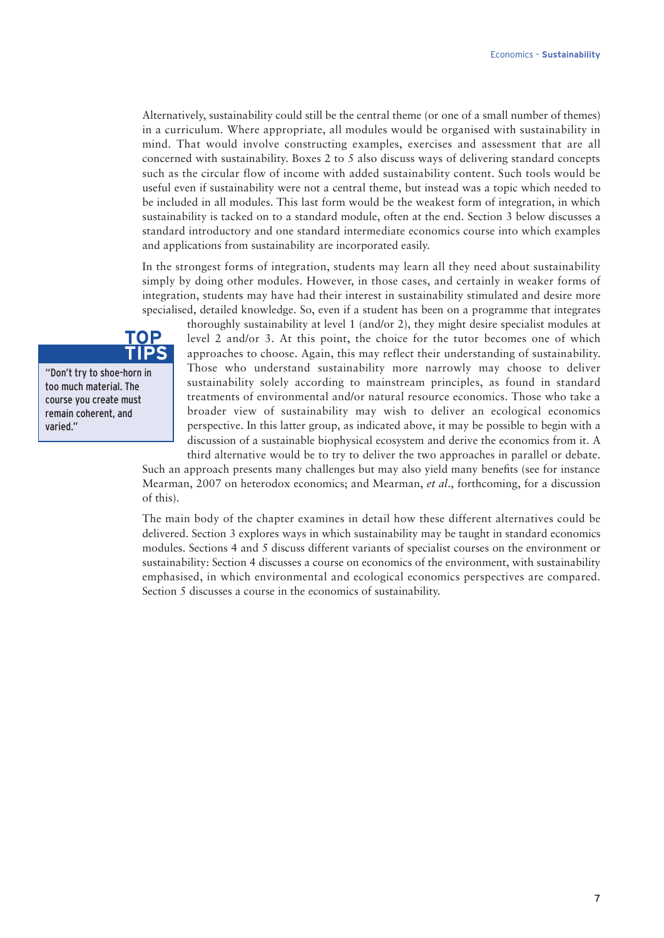Alternatively, sustainability could still be the central theme (or one of a small number of themes) in a curriculum. Where appropriate, all modules would be organised with sustainability in mind. That would involve constructing examples, exercises and assessment that are all concerned with sustainability. Boxes 2 to 5 also discuss ways of delivering standard concepts such as the circular flow of income with added sustainability content. Such tools would be useful even if sustainability were not a central theme, but instead was a topic which needed to be included in all modules. This last form would be the weakest form of integration, in which sustainability is tacked on to a standard module, often at the end. Section 3 below discusses a standard introductory and one standard intermediate economics course into which examples and applications from sustainability are incorporated easily.

In the strongest forms of integration, students may learn all they need about sustainability simply by doing other modules. However, in those cases, and certainly in weaker forms of integration, students may have had their interest in sustainability stimulated and desire more specialised, detailed knowledge. So, even if a student has been on a programme that integrates

thoroughly sustainability at level 1 (and/or 2), they might desire specialist modules at level 2 and/or 3. At this point, the choice for the tutor becomes one of which approaches to choose. Again, this may reflect their understanding of sustainability. Those who understand sustainability more narrowly may choose to deliver sustainability solely according to mainstream principles, as found in standard treatments of environmental and/or natural resource economics. Those who take a broader view of sustainability may wish to deliver an ecological economics perspective. In this latter group, as indicated above, it may be possible to begin with a discussion of a sustainable biophysical ecosystem and derive the economics from it. A third alternative would be to try to deliver the two approaches in parallel or debate.

Such an approach presents many challenges but may also yield many benefits (see for instance Mearman, 2007 on heterodox economics; and Mearman, *et al*., forthcoming, for a discussion of this).

The main body of the chapter examines in detail how these different alternatives could be delivered. Section 3 explores ways in which sustainability may be taught in standard economics modules. Sections 4 and 5 discuss different variants of specialist courses on the environment or sustainability: Section 4 discusses a course on economics of the environment, with sustainability emphasised, in which environmental and ecological economics perspectives are compared. Section 5 discusses a course in the economics of sustainability.



"Don't try to shoe-horn in too much material. The course you create must remain coherent, and varied."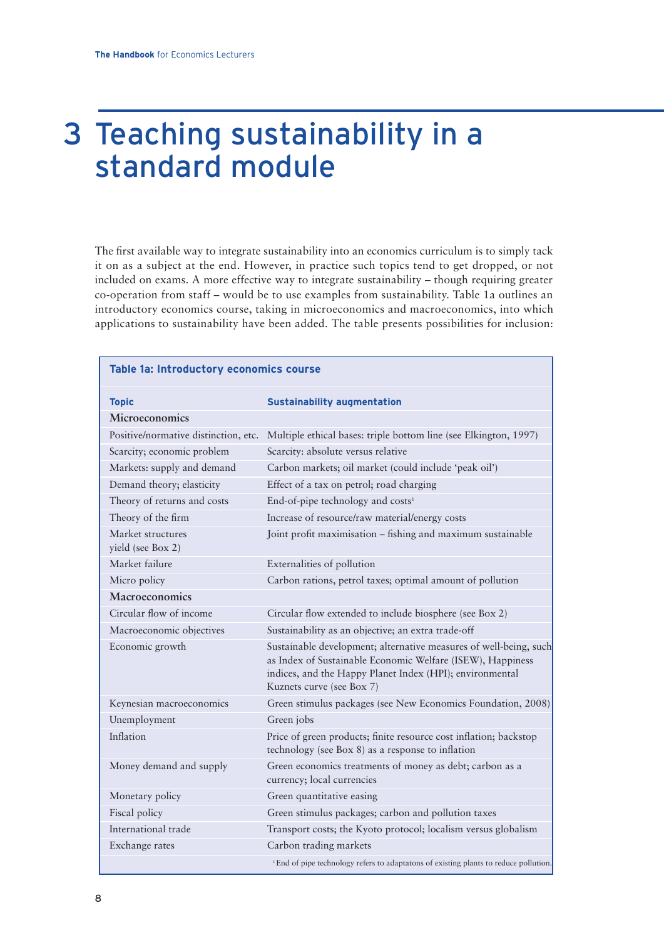# 3 Teaching sustainability in a standard module

The first available way to integrate sustainability into an economics curriculum is to simply tack it on as a subject at the end. However, in practice such topics tend to get dropped, or not included on exams. A more effective way to integrate sustainability – though requiring greater co-operation from staff – would be to use examples from sustainability. Table 1a outlines an introductory economics course, taking in microeconomics and macroeconomics, into which applications to sustainability have been added. The table presents possibilities for inclusion:

| Table 1a: Introductory economics course |                                                                                                                                                                                                                          |  |  |
|-----------------------------------------|--------------------------------------------------------------------------------------------------------------------------------------------------------------------------------------------------------------------------|--|--|
| <b>Topic</b>                            | <b>Sustainability augmentation</b>                                                                                                                                                                                       |  |  |
| Microeconomics                          |                                                                                                                                                                                                                          |  |  |
| Positive/normative distinction, etc.    | Multiple ethical bases: triple bottom line (see Elkington, 1997)                                                                                                                                                         |  |  |
| Scarcity; economic problem              | Scarcity: absolute versus relative                                                                                                                                                                                       |  |  |
| Markets: supply and demand              | Carbon markets; oil market (could include 'peak oil')                                                                                                                                                                    |  |  |
| Demand theory; elasticity               | Effect of a tax on petrol; road charging                                                                                                                                                                                 |  |  |
| Theory of returns and costs             | End-of-pipe technology and costs <sup>1</sup>                                                                                                                                                                            |  |  |
| Theory of the firm                      | Increase of resource/raw material/energy costs                                                                                                                                                                           |  |  |
| Market structures<br>yield (see Box 2)  | Joint profit maximisation - fishing and maximum sustainable                                                                                                                                                              |  |  |
| Market failure                          | Externalities of pollution                                                                                                                                                                                               |  |  |
| Micro policy                            | Carbon rations, petrol taxes; optimal amount of pollution                                                                                                                                                                |  |  |
| Macroeconomics                          |                                                                                                                                                                                                                          |  |  |
| Circular flow of income                 | Circular flow extended to include biosphere (see Box 2)                                                                                                                                                                  |  |  |
| Macroeconomic objectives                | Sustainability as an objective; an extra trade-off                                                                                                                                                                       |  |  |
| Economic growth                         | Sustainable development; alternative measures of well-being, such<br>as Index of Sustainable Economic Welfare (ISEW), Happiness<br>indices, and the Happy Planet Index (HPI); environmental<br>Kuznets curve (see Box 7) |  |  |
| Keynesian macroeconomics                | Green stimulus packages (see New Economics Foundation, 2008)                                                                                                                                                             |  |  |
| Unemployment                            | Green jobs                                                                                                                                                                                                               |  |  |
| Inflation                               | Price of green products; finite resource cost inflation; backstop<br>technology (see Box 8) as a response to inflation                                                                                                   |  |  |
| Money demand and supply                 | Green economics treatments of money as debt; carbon as a<br>currency; local currencies                                                                                                                                   |  |  |
| Monetary policy                         | Green quantitative easing                                                                                                                                                                                                |  |  |
| Fiscal policy                           | Green stimulus packages; carbon and pollution taxes                                                                                                                                                                      |  |  |
| International trade                     | Transport costs; the Kyoto protocol; localism versus globalism                                                                                                                                                           |  |  |
| Exchange rates                          | Carbon trading markets                                                                                                                                                                                                   |  |  |
|                                         | <sup>1</sup> End of pipe technology refers to adaptatons of existing plants to reduce pollution.                                                                                                                         |  |  |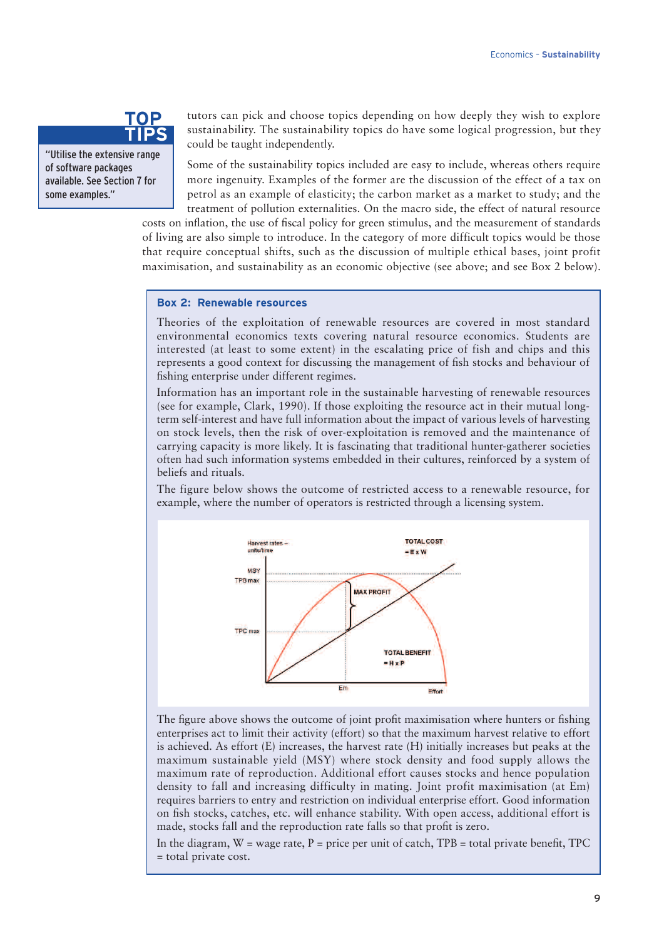### **TOP TIPS**

"Utilise the extensive range of software packages available. See Section 7 for some examples."

tutors can pick and choose topics depending on how deeply they wish to explore sustainability. The sustainability topics do have some logical progression, but they could be taught independently.

Some of the sustainability topics included are easy to include, whereas others require more ingenuity. Examples of the former are the discussion of the effect of a tax on petrol as an example of elasticity; the carbon market as a market to study; and the treatment of pollution externalities. On the macro side, the effect of natural resource

costs on inflation, the use of fiscal policy for green stimulus, and the measurement of standards of living are also simple to introduce. In the category of more difficult topics would be those that require conceptual shifts, such as the discussion of multiple ethical bases, joint profit maximisation, and sustainability as an economic objective (see above; and see Box 2 below).

#### **Box 2: Renewable resources**

Theories of the exploitation of renewable resources are covered in most standard environmental economics texts covering natural resource economics. Students are interested (at least to some extent) in the escalating price of fish and chips and this represents a good context for discussing the management of fish stocks and behaviour of fishing enterprise under different regimes.

Information has an important role in the sustainable harvesting of renewable resources (see for example, Clark, 1990). If those exploiting the resource act in their mutual longterm self-interest and have full information about the impact of various levels of harvesting on stock levels, then the risk of over-exploitation is removed and the maintenance of carrying capacity is more likely. It is fascinating that traditional hunter-gatherer societies often had such information systems embedded in their cultures, reinforced by a system of beliefs and rituals.

The figure below shows the outcome of restricted access to a renewable resource, for example, where the number of operators is restricted through a licensing system.



The figure above shows the outcome of joint profit maximisation where hunters or fishing enterprises act to limit their activity (effort) so that the maximum harvest relative to effort is achieved. As effort (E) increases, the harvest rate (H) initially increases but peaks at the maximum sustainable yield (MSY) where stock density and food supply allows the maximum rate of reproduction. Additional effort causes stocks and hence population density to fall and increasing difficulty in mating. Joint profit maximisation (at Em) requires barriers to entry and restriction on individual enterprise effort. Good information on fish stocks, catches, etc. will enhance stability. With open access, additional effort is made, stocks fall and the reproduction rate falls so that profit is zero.

In the diagram,  $W = \text{wage rate}, P = \text{price per unit of catch}, TPB = \text{total private benefit}, TPC$ = total private cost.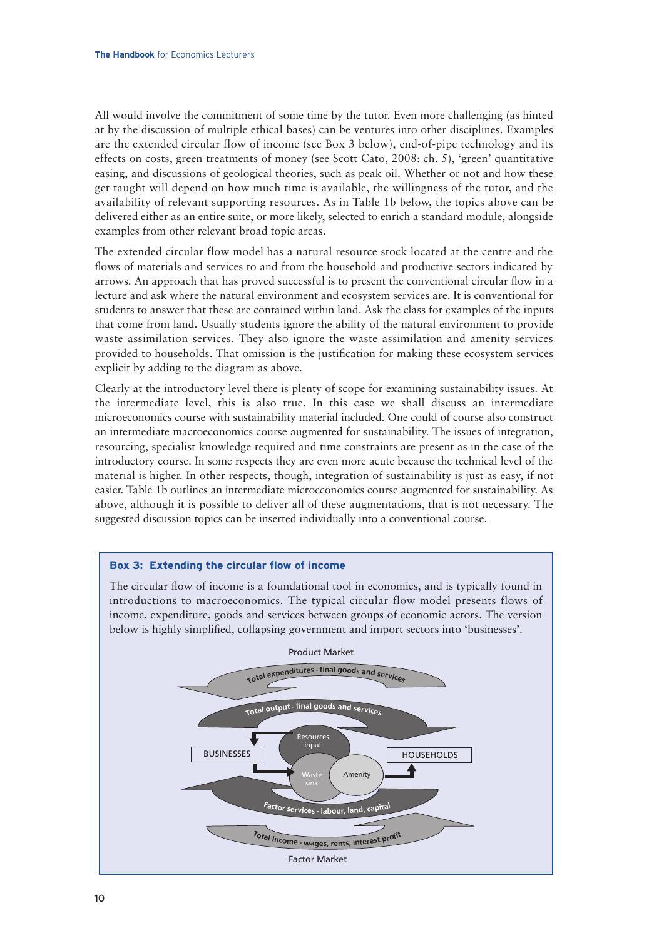All would involve the commitment of some time by the tutor. Even more challenging (as hinted at by the discussion of multiple ethical bases) can be ventures into other disciplines. Examples are the extended circular flow of income (see Box 3 below), end-of-pipe technology and its effects on costs, green treatments of money (see Scott Cato, 2008: ch. 5), 'green' quantitative easing, and discussions of geological theories, such as peak oil. Whether or not and how these get taught will depend on how much time is available, the willingness of the tutor, and the availability of relevant supporting resources. As in Table 1b below, the topics above can be delivered either as an entire suite, or more likely, selected to enrich a standard module, alongside examples from other relevant broad topic areas.

The extended circular flow model has a natural resource stock located at the centre and the flows of materials and services to and from the household and productive sectors indicated by arrows. An approach that has proved successful is to present the conventional circular flow in a lecture and ask where the natural environment and ecosystem services are. It is conventional for students to answer that these are contained within land. Ask the class for examples of the inputs that come from land. Usually students ignore the ability of the natural environment to provide waste assimilation services. They also ignore the waste assimilation and amenity services provided to households. That omission is the justification for making these ecosystem services explicit by adding to the diagram as above.

Clearly at the introductory level there is plenty of scope for examining sustainability issues. At the intermediate level, this is also true. In this case we shall discuss an intermediate microeconomics course with sustainability material included. One could of course also construct an intermediate macroeconomics course augmented for sustainability. The issues of integration, resourcing, specialist knowledge required and time constraints are present as in the case of the introductory course. In some respects they are even more acute because the technical level of the material is higher. In other respects, though, integration of sustainability is just as easy, if not easier. Table 1b outlines an intermediate microeconomics course augmented for sustainability. As above, although it is possible to deliver all of these augmentations, that is not necessary. The suggested discussion topics can be inserted individually into a conventional course.



#### **Box 3: Extending the circular flow of income**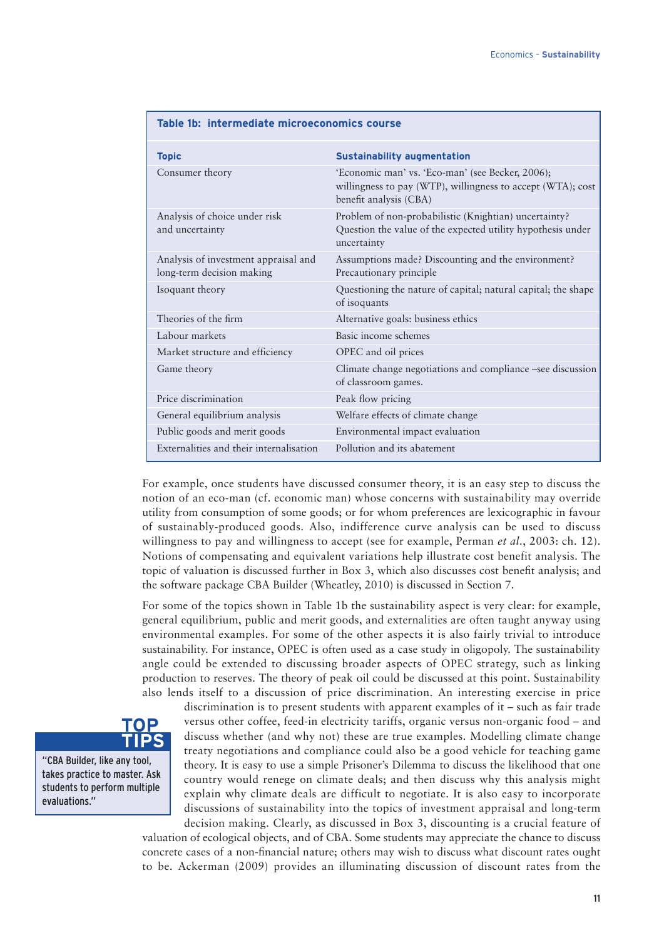| <b>Topic</b>                                                      | <b>Sustainability augmentation</b>                                                                                                        |  |  |  |
|-------------------------------------------------------------------|-------------------------------------------------------------------------------------------------------------------------------------------|--|--|--|
| Consumer theory                                                   | 'Economic man' vs. 'Eco-man' (see Becker, 2006);<br>willingness to pay (WTP), willingness to accept (WTA); cost<br>benefit analysis (CBA) |  |  |  |
| Analysis of choice under risk<br>and uncertainty                  | Problem of non-probabilistic (Knightian) uncertainty?<br>Question the value of the expected utility hypothesis under<br>uncertainty       |  |  |  |
| Analysis of investment appraisal and<br>long-term decision making | Assumptions made? Discounting and the environment?<br>Precautionary principle                                                             |  |  |  |
| Isoquant theory                                                   | Questioning the nature of capital; natural capital; the shape<br>of isoquants                                                             |  |  |  |
| Theories of the firm                                              | Alternative goals: business ethics                                                                                                        |  |  |  |
| Labour markets                                                    | Basic income schemes                                                                                                                      |  |  |  |
| Market structure and efficiency                                   | OPEC and oil prices                                                                                                                       |  |  |  |
| Game theory                                                       | Climate change negotiations and compliance -see discussion<br>of classroom games.                                                         |  |  |  |
| Price discrimination                                              | Peak flow pricing                                                                                                                         |  |  |  |
| General equilibrium analysis                                      | Welfare effects of climate change                                                                                                         |  |  |  |
| Public goods and merit goods                                      | Environmental impact evaluation                                                                                                           |  |  |  |
| Externalities and their internalisation                           | Pollution and its abatement                                                                                                               |  |  |  |

**Table 1b: intermediate microeconomics course**

For example, once students have discussed consumer theory, it is an easy step to discuss the notion of an eco-man (cf. economic man) whose concerns with sustainability may override utility from consumption of some goods; or for whom preferences are lexicographic in favour of sustainably-produced goods. Also, indifference curve analysis can be used to discuss willingness to pay and willingness to accept (see for example, Perman *et al*., 2003: ch. 12). Notions of compensating and equivalent variations help illustrate cost benefit analysis. The topic of valuation is discussed further in Box 3, which also discusses cost benefit analysis; and the software package CBA Builder (Wheatley, 2010) is discussed in Section 7.

For some of the topics shown in Table 1b the sustainability aspect is very clear: for example, general equilibrium, public and merit goods, and externalities are often taught anyway using environmental examples. For some of the other aspects it is also fairly trivial to introduce sustainability. For instance, OPEC is often used as a case study in oligopoly. The sustainability angle could be extended to discussing broader aspects of OPEC strategy, such as linking production to reserves. The theory of peak oil could be discussed at this point. Sustainability also lends itself to a discussion of price discrimination. An interesting exercise in price



"CBA Builder, like any tool, takes practice to master. Ask students to perform multiple evaluations."

discrimination is to present students with apparent examples of it – such as fair trade versus other coffee, feed-in electricity tariffs, organic versus non-organic food – and discuss whether (and why not) these are true examples. Modelling climate change treaty negotiations and compliance could also be a good vehicle for teaching game theory. It is easy to use a simple Prisoner's Dilemma to discuss the likelihood that one country would renege on climate deals; and then discuss why this analysis might explain why climate deals are difficult to negotiate. It is also easy to incorporate discussions of sustainability into the topics of investment appraisal and long-term decision making. Clearly, as discussed in Box 3, discounting is a crucial feature of

valuation of ecological objects, and of CBA. Some students may appreciate the chance to discuss concrete cases of a non-financial nature; others may wish to discuss what discount rates ought to be. Ackerman (2009) provides an illuminating discussion of discount rates from the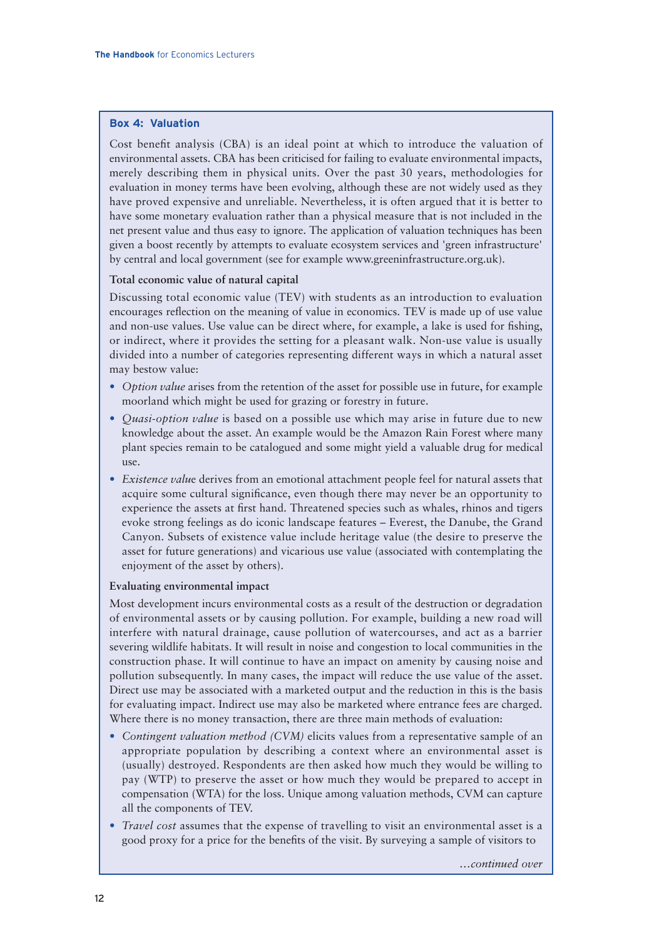#### **Box 4: Valuation**

Cost benefit analysis (CBA) is an ideal point at which to introduce the valuation of environmental assets. CBA has been criticised for failing to evaluate environmental impacts, merely describing them in physical units. Over the past 30 years, methodologies for evaluation in money terms have been evolving, although these are not widely used as they have proved expensive and unreliable. Nevertheless, it is often argued that it is better to have some monetary evaluation rather than a physical measure that is not included in the net present value and thus easy to ignore. The application of valuation techniques has been given a boost recently by attempts to evaluate ecosystem services and 'green infrastructure' by central and local government (see for example www.greeninfrastructure.org.uk).

#### **Total economic value of natural capital**

Discussing total economic value (TEV) with students as an introduction to evaluation encourages reflection on the meaning of value in economics. TEV is made up of use value and non-use values. Use value can be direct where, for example, a lake is used for fishing, or indirect, where it provides the setting for a pleasant walk. Non-use value is usually divided into a number of categories representing different ways in which a natural asset may bestow value:

- *Option value* arises from the retention of the asset for possible use in future, for example moorland which might be used for grazing or forestry in future.
- *Quasi-option value* is based on a possible use which may arise in future due to new knowledge about the asset. An example would be the Amazon Rain Forest where many plant species remain to be catalogued and some might yield a valuable drug for medical use.
- *Existence valu*e derives from an emotional attachment people feel for natural assets that acquire some cultural significance, even though there may never be an opportunity to experience the assets at first hand. Threatened species such as whales, rhinos and tigers evoke strong feelings as do iconic landscape features – Everest, the Danube, the Grand Canyon. Subsets of existence value include heritage value (the desire to preserve the asset for future generations) and vicarious use value (associated with contemplating the enjoyment of the asset by others).

#### **Evaluating environmental impact**

Most development incurs environmental costs as a result of the destruction or degradation of environmental assets or by causing pollution. For example, building a new road will interfere with natural drainage, cause pollution of watercourses, and act as a barrier severing wildlife habitats. It will result in noise and congestion to local communities in the construction phase. It will continue to have an impact on amenity by causing noise and pollution subsequently. In many cases, the impact will reduce the use value of the asset. Direct use may be associated with a marketed output and the reduction in this is the basis for evaluating impact. Indirect use may also be marketed where entrance fees are charged. Where there is no money transaction, there are three main methods of evaluation:

- *Contingent valuation method (CVM)* elicits values from a representative sample of an appropriate population by describing a context where an environmental asset is (usually) destroyed. Respondents are then asked how much they would be willing to pay (WTP) to preserve the asset or how much they would be prepared to accept in compensation (WTA) for the loss. Unique among valuation methods, CVM can capture all the components of TEV.
- *Travel cost* assumes that the expense of travelling to visit an environmental asset is a good proxy for a price for the benefits of the visit. By surveying a sample of visitors to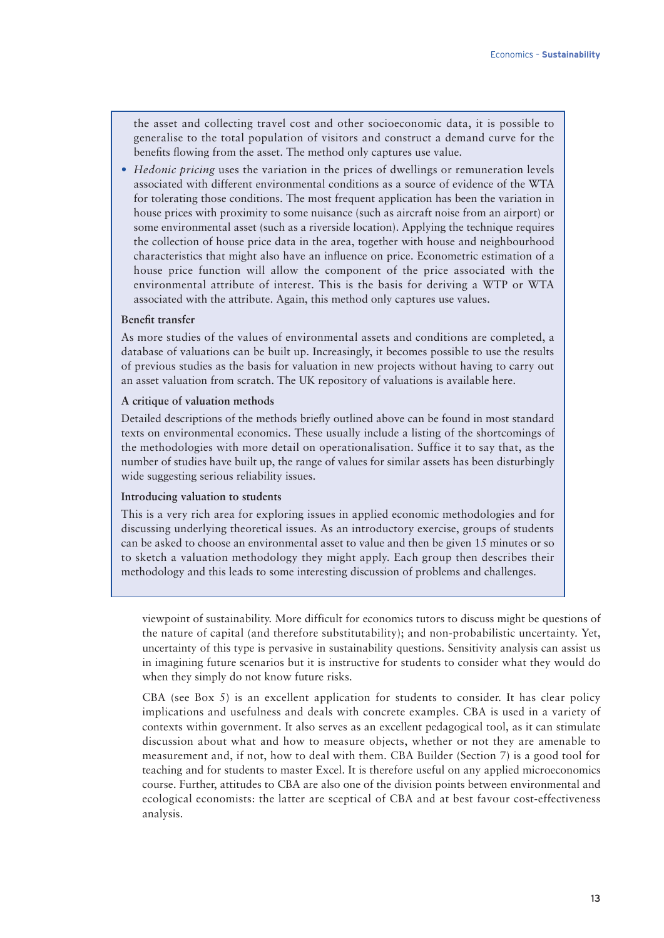the asset and collecting travel cost and other socioeconomic data, it is possible to generalise to the total population of visitors and construct a demand curve for the benefits flowing from the asset. The method only captures use value.

• *Hedonic pricing* uses the variation in the prices of dwellings or remuneration levels associated with different environmental conditions as a source of evidence of the WTA for tolerating those conditions. The most frequent application has been the variation in house prices with proximity to some nuisance (such as aircraft noise from an airport) or some environmental asset (such as a riverside location). Applying the technique requires the collection of house price data in the area, together with house and neighbourhood characteristics that might also have an influence on price. Econometric estimation of a house price function will allow the component of the price associated with the environmental attribute of interest. This is the basis for deriving a WTP or WTA associated with the attribute. Again, this method only captures use values.

#### **Benefit transfer**

As more studies of the values of environmental assets and conditions are completed, a database of valuations can be built up. Increasingly, it becomes possible to use the results of previous studies as the basis for valuation in new projects without having to carry out an asset valuation from scratch. The UK repository of valuations is available here.

#### **A critique of valuation methods**

Detailed descriptions of the methods briefly outlined above can be found in most standard texts on environmental economics. These usually include a listing of the shortcomings of the methodologies with more detail on operationalisation. Suffice it to say that, as the number of studies have built up, the range of values for similar assets has been disturbingly wide suggesting serious reliability issues.

#### **Introducing valuation to students**

This is a very rich area for exploring issues in applied economic methodologies and for discussing underlying theoretical issues. As an introductory exercise, groups of students can be asked to choose an environmental asset to value and then be given 15 minutes or so to sketch a valuation methodology they might apply. Each group then describes their methodology and this leads to some interesting discussion of problems and challenges.

viewpoint of sustainability. More difficult for economics tutors to discuss might be questions of the nature of capital (and therefore substitutability); and non-probabilistic uncertainty. Yet, uncertainty of this type is pervasive in sustainability questions. Sensitivity analysis can assist us in imagining future scenarios but it is instructive for students to consider what they would do when they simply do not know future risks.

CBA (see Box 5) is an excellent application for students to consider. It has clear policy implications and usefulness and deals with concrete examples. CBA is used in a variety of contexts within government. It also serves as an excellent pedagogical tool, as it can stimulate discussion about what and how to measure objects, whether or not they are amenable to measurement and, if not, how to deal with them. CBA Builder (Section 7) is a good tool for teaching and for students to master Excel. It is therefore useful on any applied microeconomics course. Further, attitudes to CBA are also one of the division points between environmental and ecological economists: the latter are sceptical of CBA and at best favour cost-effectiveness analysis.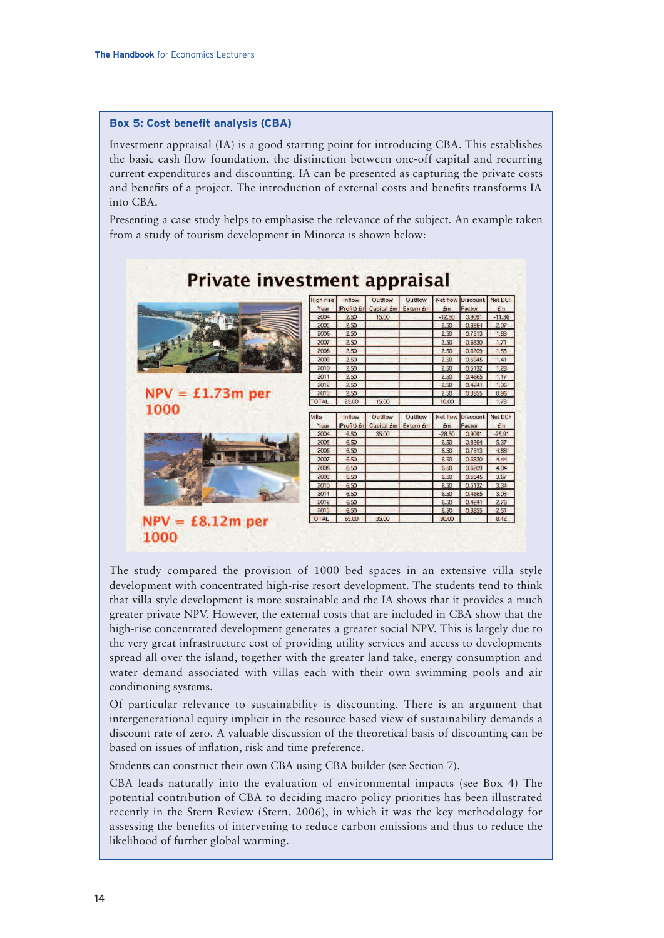1000

#### **Box 5: Cost benefit analysis (CBA)**

Investment appraisal (IA) is a good starting point for introducing CBA. This establishes the basic cash flow foundation, the distinction between one-off capital and recurring current expenditures and discounting. IA can be presented as capturing the private costs and benefits of a project. The introduction of external costs and benefits transforms IA into CBA.

Presenting a case study helps to emphasise the relevance of the subject. An example taken from a study of tourism development in Minorca is shown below:

|                    | <b>High rise</b> | Inflow             | Outflow                            | <b>Outflow</b> | Net flow | <b>Discount</b> | <b>Net DCF</b> |
|--------------------|------------------|--------------------|------------------------------------|----------------|----------|-----------------|----------------|
|                    | Year             | (Profit) <i>Em</i> | Capital <i>Em</i> Extern <i>Em</i> |                | £m       | Factor          | £m             |
|                    | 2004             | 2.50               | 15.00                              |                | $-12.50$ | 0.9091          | $-11.36$       |
|                    | 2005             | 2.50               |                                    |                | 2.50     | 0.8264          | 2.07           |
|                    | 2006             | 2.50               |                                    |                | 2.50     | 0.7513          | 1.88           |
|                    | 2007             | 2.50               |                                    |                | 2.50     | 0.6830          | 1.71           |
|                    | 2008             | 2.50               |                                    |                | 2.50     | 0.6209          | 1.55           |
|                    | 2009             | 2.50               |                                    |                | 2.50     | 0.5645          | 1.41           |
|                    | 2010             | 2.50               |                                    |                | 2.50     | 0.5132          | 1.28           |
|                    | 2011             | 250                |                                    |                | 2.50     | 0.4665          | 1.17           |
|                    | 2012             | 2.50               |                                    |                | 2.50     | 0.4241          | 1.06           |
| $NPV = £1.73m$ per | 2013             | 2.50               |                                    |                | 2.50     | 0.3855          | 0.96           |
|                    | <b>TOTAL</b>     | 25.00              | 15.00                              |                | 10.00    |                 | 1.73           |
|                    |                  |                    |                                    |                |          |                 |                |
| 1000               | Villa            | Inflow             | Outflow                            | Outflow        | Net flow | <b>Discount</b> | <b>Net DCF</b> |
|                    | Year             | (Profit) <i>Em</i> | Capital £m                         | Extern £m      | Em       | Factor          | Em             |
|                    | 2004             | 6.50               | 35.00                              |                | $-28.50$ | 0.9091          | $-25.91$       |
|                    | 2005             | 6.50               |                                    |                | 6.50     | 0.8264          | 5.37           |
|                    | 2006             | 6.50               |                                    |                | 6.50     | 0.7513          | 4.88           |
|                    | 2007             | 6.50               |                                    |                | 6.50     | 0.6830          | 4.44           |
|                    | 2008             | 6.50               |                                    |                | 6.50     | 0.6209          | 4.04           |
|                    | 2009             | 6.50               |                                    |                | 6.50     | 0.5645          | 3.67           |
|                    | 2010             | 6.50               |                                    |                | 6.50     | 0.5132          | 3.34           |
|                    | 2011             | 6.50               |                                    |                | 6.50     | 0.4665          | 3.03           |
|                    | 2012             | 6.50               |                                    |                | 6.50     | 0.4241          | 2.76           |
|                    | 2013             | 6.50               |                                    |                | 6.50     | 0.3855          | 2.51           |
| £8.12m per         | <b>TOTAL</b>     | 65.00              | 35.00                              |                | 30.00    |                 | 8.12           |

The study compared the provision of 1000 bed spaces in an extensive villa style development with concentrated high-rise resort development. The students tend to think that villa style development is more sustainable and the IA shows that it provides a much greater private NPV. However, the external costs that are included in CBA show that the high-rise concentrated development generates a greater social NPV. This is largely due to the very great infrastructure cost of providing utility services and access to developments spread all over the island, together with the greater land take, energy consumption and water demand associated with villas each with their own swimming pools and air conditioning systems.

Of particular relevance to sustainability is discounting. There is an argument that intergenerational equity implicit in the resource based view of sustainability demands a discount rate of zero. A valuable discussion of the theoretical basis of discounting can be based on issues of inflation, risk and time preference.

Students can construct their own CBA using CBA builder (see Section 7).

CBA leads naturally into the evaluation of environmental impacts (see Box 4) The potential contribution of CBA to deciding macro policy priorities has been illustrated recently in the Stern Review (Stern, 2006), in which it was the key methodology for assessing the benefits of intervening to reduce carbon emissions and thus to reduce the likelihood of further global warming.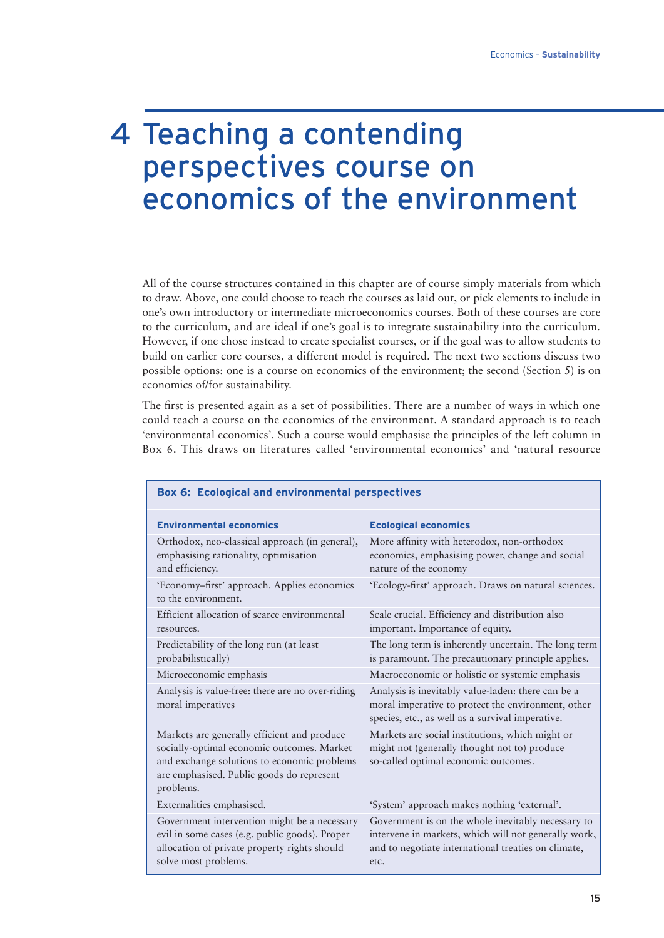# 4 Teaching a contending perspectives course on economics of the environment

All of the course structures contained in this chapter are of course simply materials from which to draw. Above, one could choose to teach the courses as laid out, or pick elements to include in one's own introductory or intermediate microeconomics courses. Both of these courses are core to the curriculum, and are ideal if one's goal is to integrate sustainability into the curriculum. However, if one chose instead to create specialist courses, or if the goal was to allow students to build on earlier core courses, a different model is required. The next two sections discuss two possible options: one is a course on economics of the environment; the second (Section 5) is on economics of/for sustainability.

The first is presented again as a set of possibilities. There are a number of ways in which one could teach a course on the economics of the environment. A standard approach is to teach 'environmental economics'. Such a course would emphasise the principles of the left column in Box 6. This draws on literatures called 'environmental economics' and 'natural resource

| Box 6: Ecological and environmental perspectives                                                                                                                                                   |                                                                                                                                                                           |  |  |  |
|----------------------------------------------------------------------------------------------------------------------------------------------------------------------------------------------------|---------------------------------------------------------------------------------------------------------------------------------------------------------------------------|--|--|--|
| <b>Environmental economics</b>                                                                                                                                                                     | <b>Ecological economics</b>                                                                                                                                               |  |  |  |
| Orthodox, neo-classical approach (in general),<br>emphasising rationality, optimisation<br>and efficiency.                                                                                         | More affinity with heterodox, non-orthodox<br>economics, emphasising power, change and social<br>nature of the economy                                                    |  |  |  |
| 'Economy-first' approach. Applies economics<br>to the environment.                                                                                                                                 | 'Ecology-first' approach. Draws on natural sciences.                                                                                                                      |  |  |  |
| Efficient allocation of scarce environmental<br>resources.                                                                                                                                         | Scale crucial. Efficiency and distribution also<br>important. Importance of equity.                                                                                       |  |  |  |
| Predictability of the long run (at least<br>probabilistically)                                                                                                                                     | The long term is inherently uncertain. The long term<br>is paramount. The precautionary principle applies.                                                                |  |  |  |
| Microeconomic emphasis                                                                                                                                                                             | Macroeconomic or holistic or systemic emphasis                                                                                                                            |  |  |  |
| Analysis is value-free: there are no over-riding<br>moral imperatives                                                                                                                              | Analysis is inevitably value-laden: there can be a<br>moral imperative to protect the environment, other<br>species, etc., as well as a survival imperative.              |  |  |  |
| Markets are generally efficient and produce<br>socially-optimal economic outcomes. Market<br>and exchange solutions to economic problems<br>are emphasised. Public goods do represent<br>problems. | Markets are social institutions, which might or<br>might not (generally thought not to) produce<br>so-called optimal economic outcomes.                                   |  |  |  |
| Externalities emphasised.                                                                                                                                                                          | 'System' approach makes nothing 'external'.                                                                                                                               |  |  |  |
| Government intervention might be a necessary<br>evil in some cases (e.g. public goods). Proper<br>allocation of private property rights should<br>solve most problems.                             | Government is on the whole inevitably necessary to<br>intervene in markets, which will not generally work,<br>and to negotiate international treaties on climate,<br>etc. |  |  |  |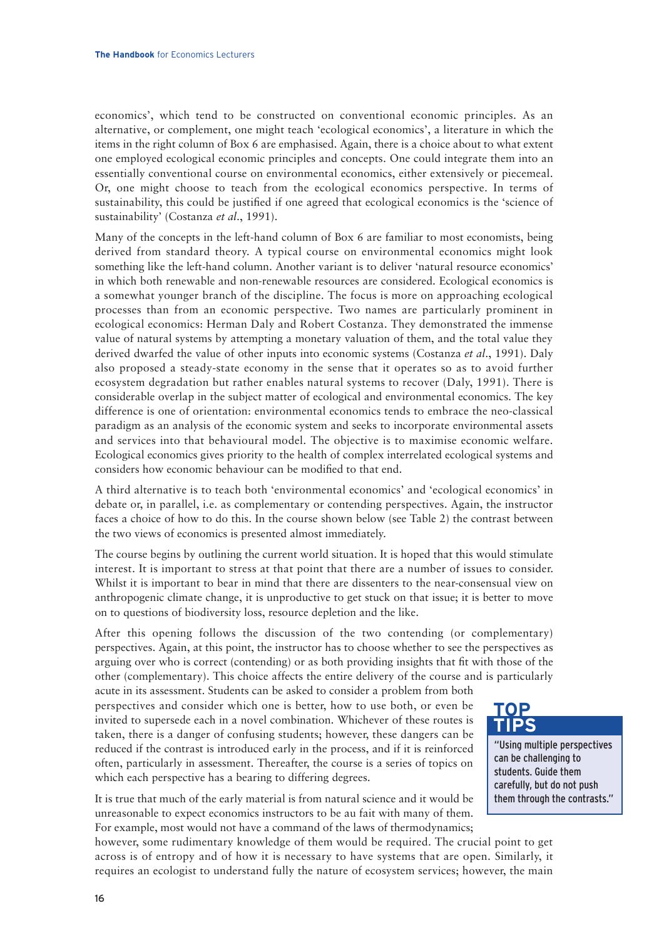economics', which tend to be constructed on conventional economic principles. As an alternative, or complement, one might teach 'ecological economics', a literature in which the items in the right column of Box 6 are emphasised. Again, there is a choice about to what extent one employed ecological economic principles and concepts. One could integrate them into an essentially conventional course on environmental economics, either extensively or piecemeal. Or, one might choose to teach from the ecological economics perspective. In terms of sustainability, this could be justified if one agreed that ecological economics is the 'science of sustainability' (Costanza *et al*., 1991).

Many of the concepts in the left-hand column of Box 6 are familiar to most economists, being derived from standard theory. A typical course on environmental economics might look something like the left-hand column. Another variant is to deliver 'natural resource economics' in which both renewable and non-renewable resources are considered. Ecological economics is a somewhat younger branch of the discipline. The focus is more on approaching ecological processes than from an economic perspective. Two names are particularly prominent in ecological economics: Herman Daly and Robert Costanza. They demonstrated the immense value of natural systems by attempting a monetary valuation of them, and the total value they derived dwarfed the value of other inputs into economic systems (Costanza *et al*., 1991). Daly also proposed a steady-state economy in the sense that it operates so as to avoid further ecosystem degradation but rather enables natural systems to recover (Daly, 1991). There is considerable overlap in the subject matter of ecological and environmental economics. The key difference is one of orientation: environmental economics tends to embrace the neo-classical paradigm as an analysis of the economic system and seeks to incorporate environmental assets and services into that behavioural model. The objective is to maximise economic welfare. Ecological economics gives priority to the health of complex interrelated ecological systems and considers how economic behaviour can be modified to that end.

A third alternative is to teach both 'environmental economics' and 'ecological economics' in debate or, in parallel, i.e. as complementary or contending perspectives. Again, the instructor faces a choice of how to do this. In the course shown below (see Table 2) the contrast between the two views of economics is presented almost immediately.

The course begins by outlining the current world situation. It is hoped that this would stimulate interest. It is important to stress at that point that there are a number of issues to consider. Whilst it is important to bear in mind that there are dissenters to the near-consensual view on anthropogenic climate change, it is unproductive to get stuck on that issue; it is better to move on to questions of biodiversity loss, resource depletion and the like.

After this opening follows the discussion of the two contending (or complementary) perspectives. Again, at this point, the instructor has to choose whether to see the perspectives as arguing over who is correct (contending) or as both providing insights that fit with those of the other (complementary). This choice affects the entire delivery of the course and is particularly

acute in its assessment. Students can be asked to consider a problem from both perspectives and consider which one is better, how to use both, or even be invited to supersede each in a novel combination. Whichever of these routes is taken, there is a danger of confusing students; however, these dangers can be reduced if the contrast is introduced early in the process, and if it is reinforced often, particularly in assessment. Thereafter, the course is a series of topics on which each perspective has a bearing to differing degrees.

It is true that much of the early material is from natural science and it would be unreasonable to expect economics instructors to be au fait with many of them. For example, most would not have a command of the laws of thermodynamics;

"Using multiple perspectives can be challenging to students. Guide them carefully, but do not push them through the contrasts."

**TOP TIPS**

however, some rudimentary knowledge of them would be required. The crucial point to get across is of entropy and of how it is necessary to have systems that are open. Similarly, it requires an ecologist to understand fully the nature of ecosystem services; however, the main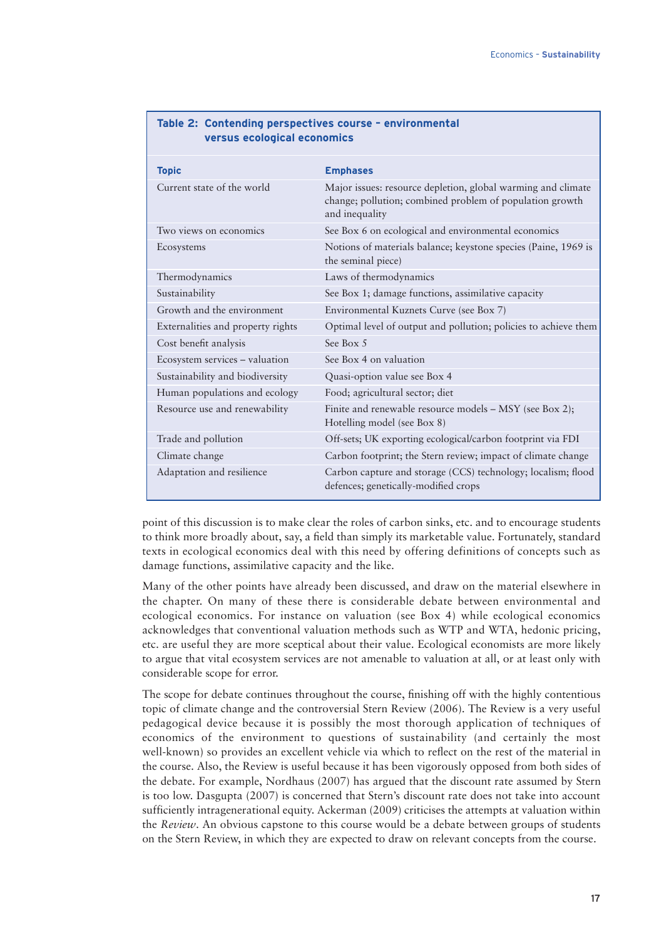| <b>Topic</b>                      | <b>Emphases</b>                                                                                                                            |
|-----------------------------------|--------------------------------------------------------------------------------------------------------------------------------------------|
| Current state of the world        | Major issues: resource depletion, global warming and climate<br>change; pollution; combined problem of population growth<br>and inequality |
| Two views on economics            | See Box 6 on ecological and environmental economics                                                                                        |
| Ecosystems                        | Notions of materials balance; keystone species (Paine, 1969 is<br>the seminal piece)                                                       |
| Thermodynamics                    | Laws of thermodynamics                                                                                                                     |
| Sustainability                    | See Box 1; damage functions, assimilative capacity                                                                                         |
| Growth and the environment        | Environmental Kuznets Curve (see Box 7)                                                                                                    |
| Externalities and property rights | Optimal level of output and pollution; policies to achieve them                                                                            |
| Cost benefit analysis             | See Box 5                                                                                                                                  |
| Ecosystem services - valuation    | See Box 4 on valuation                                                                                                                     |
| Sustainability and biodiversity   | Quasi-option value see Box 4                                                                                                               |
| Human populations and ecology     | Food; agricultural sector; diet                                                                                                            |
| Resource use and renewability     | Finite and renewable resource models - MSY (see Box 2);<br>Hotelling model (see Box 8)                                                     |
| Trade and pollution               | Off-sets; UK exporting ecological/carbon footprint via FDI                                                                                 |
| Climate change                    | Carbon footprint; the Stern review; impact of climate change                                                                               |
| Adaptation and resilience         | Carbon capture and storage (CCS) technology; localism; flood<br>defences; genetically-modified crops                                       |

#### **Table 2: Contending perspectives course – environmental versus ecological economics**

point of this discussion is to make clear the roles of carbon sinks, etc. and to encourage students to think more broadly about, say, a field than simply its marketable value. Fortunately, standard texts in ecological economics deal with this need by offering definitions of concepts such as damage functions, assimilative capacity and the like.

Many of the other points have already been discussed, and draw on the material elsewhere in the chapter. On many of these there is considerable debate between environmental and ecological economics. For instance on valuation (see Box 4) while ecological economics acknowledges that conventional valuation methods such as WTP and WTA, hedonic pricing, etc. are useful they are more sceptical about their value. Ecological economists are more likely to argue that vital ecosystem services are not amenable to valuation at all, or at least only with considerable scope for error.

The scope for debate continues throughout the course, finishing off with the highly contentious topic of climate change and the controversial Stern Review (2006). The Review is a very useful pedagogical device because it is possibly the most thorough application of techniques of economics of the environment to questions of sustainability (and certainly the most well-known) so provides an excellent vehicle via which to reflect on the rest of the material in the course. Also, the Review is useful because it has been vigorously opposed from both sides of the debate. For example, Nordhaus (2007) has argued that the discount rate assumed by Stern is too low. Dasgupta (2007) is concerned that Stern's discount rate does not take into account sufficiently intragenerational equity. Ackerman (2009) criticises the attempts at valuation within the *Review*. An obvious capstone to this course would be a debate between groups of students on the Stern Review, in which they are expected to draw on relevant concepts from the course.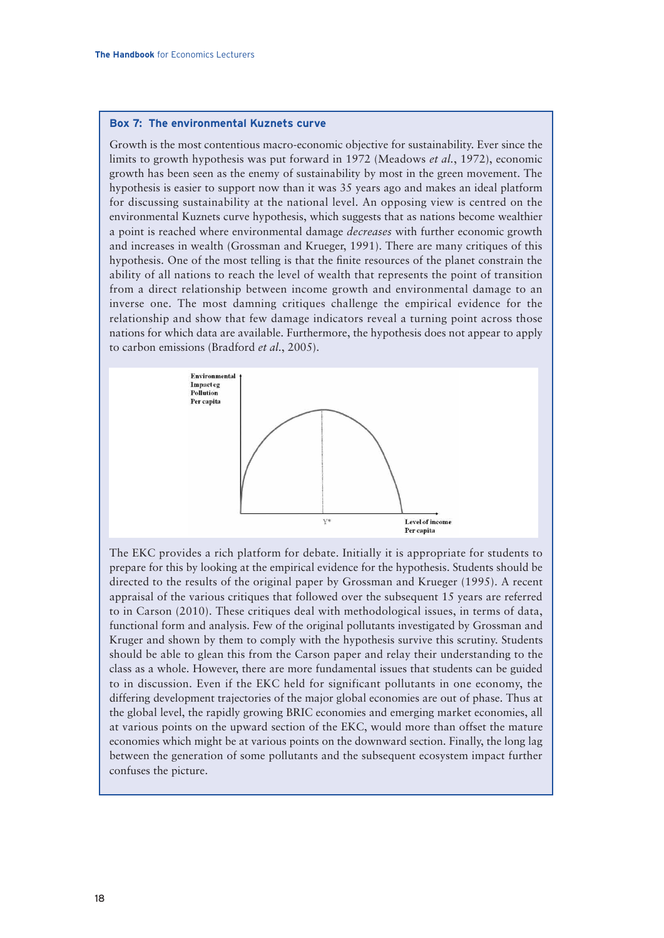#### **Box 7: The environmental Kuznets curve**

Growth is the most contentious macro-economic objective for sustainability. Ever since the limits to growth hypothesis was put forward in 1972 (Meadows *et al.*, 1972), economic growth has been seen as the enemy of sustainability by most in the green movement. The hypothesis is easier to support now than it was 35 years ago and makes an ideal platform for discussing sustainability at the national level. An opposing view is centred on the environmental Kuznets curve hypothesis, which suggests that as nations become wealthier a point is reached where environmental damage *decreases* with further economic growth and increases in wealth (Grossman and Krueger, 1991). There are many critiques of this hypothesis. One of the most telling is that the finite resources of the planet constrain the ability of all nations to reach the level of wealth that represents the point of transition from a direct relationship between income growth and environmental damage to an inverse one. The most damning critiques challenge the empirical evidence for the relationship and show that few damage indicators reveal a turning point across those nations for which data are available. Furthermore, the hypothesis does not appear to apply to carbon emissions (Bradford *et al.*, 2005).



The EKC provides a rich platform for debate. Initially it is appropriate for students to prepare for this by looking at the empirical evidence for the hypothesis. Students should be directed to the results of the original paper by Grossman and Krueger (1995). A recent appraisal of the various critiques that followed over the subsequent 15 years are referred to in Carson (2010). These critiques deal with methodological issues, in terms of data, functional form and analysis. Few of the original pollutants investigated by Grossman and Kruger and shown by them to comply with the hypothesis survive this scrutiny. Students should be able to glean this from the Carson paper and relay their understanding to the class as a whole. However, there are more fundamental issues that students can be guided to in discussion. Even if the EKC held for significant pollutants in one economy, the differing development trajectories of the major global economies are out of phase. Thus at the global level, the rapidly growing BRIC economies and emerging market economies, all at various points on the upward section of the EKC, would more than offset the mature economies which might be at various points on the downward section. Finally, the long lag between the generation of some pollutants and the subsequent ecosystem impact further confuses the picture.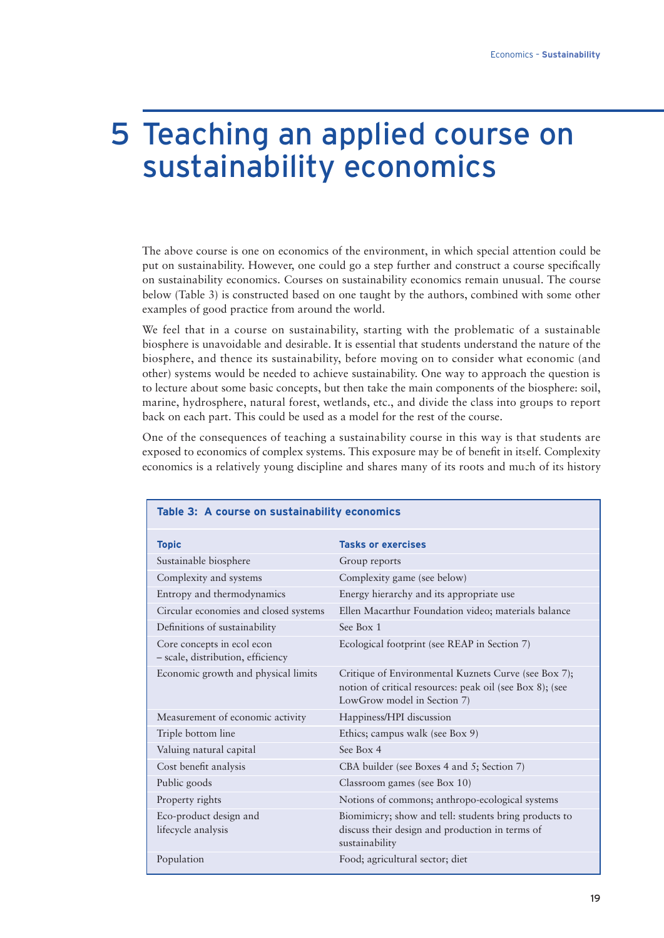### 5 Teaching an applied course on sustainability economics

The above course is one on economics of the environment, in which special attention could be put on sustainability. However, one could go a step further and construct a course specifically on sustainability economics. Courses on sustainability economics remain unusual. The course below (Table 3) is constructed based on one taught by the authors, combined with some other examples of good practice from around the world.

We feel that in a course on sustainability, starting with the problematic of a sustainable biosphere is unavoidable and desirable. It is essential that students understand the nature of the biosphere, and thence its sustainability, before moving on to consider what economic (and other) systems would be needed to achieve sustainability. One way to approach the question is to lecture about some basic concepts, but then take the main components of the biosphere: soil, marine, hydrosphere, natural forest, wetlands, etc., and divide the class into groups to report back on each part. This could be used as a model for the rest of the course.

One of the consequences of teaching a sustainability course in this way is that students are exposed to economics of complex systems. This exposure may be of benefit in itself. Complexity economics is a relatively young discipline and shares many of its roots and much of its history

| Table 3: A course on sustainability economics                   |                                                                                                                                                 |  |  |  |
|-----------------------------------------------------------------|-------------------------------------------------------------------------------------------------------------------------------------------------|--|--|--|
| <b>Topic</b>                                                    | <b>Tasks or exercises</b>                                                                                                                       |  |  |  |
| Sustainable biosphere                                           | Group reports                                                                                                                                   |  |  |  |
| Complexity and systems                                          | Complexity game (see below)                                                                                                                     |  |  |  |
| Entropy and thermodynamics                                      | Energy hierarchy and its appropriate use                                                                                                        |  |  |  |
| Circular economies and closed systems                           | Ellen Macarthur Foundation video; materials balance                                                                                             |  |  |  |
| Definitions of sustainability                                   | See Box 1                                                                                                                                       |  |  |  |
| Core concepts in ecol econ<br>- scale, distribution, efficiency | Ecological footprint (see REAP in Section 7)                                                                                                    |  |  |  |
| Economic growth and physical limits                             | Critique of Environmental Kuznets Curve (see Box 7);<br>notion of critical resources: peak oil (see Box 8); (see<br>LowGrow model in Section 7) |  |  |  |
| Measurement of economic activity                                | Happiness/HPI discussion                                                                                                                        |  |  |  |
| Triple bottom line                                              | Ethics; campus walk (see Box 9)                                                                                                                 |  |  |  |
| Valuing natural capital                                         | See Box 4                                                                                                                                       |  |  |  |
| Cost benefit analysis                                           | CBA builder (see Boxes 4 and 5; Section 7)                                                                                                      |  |  |  |
| Public goods                                                    | Classroom games (see Box 10)                                                                                                                    |  |  |  |
| Property rights                                                 | Notions of commons; anthropo-ecological systems                                                                                                 |  |  |  |
| Eco-product design and<br>lifecycle analysis                    | Biomimicry; show and tell: students bring products to<br>discuss their design and production in terms of<br>sustainability                      |  |  |  |
| Population                                                      | Food; agricultural sector; diet                                                                                                                 |  |  |  |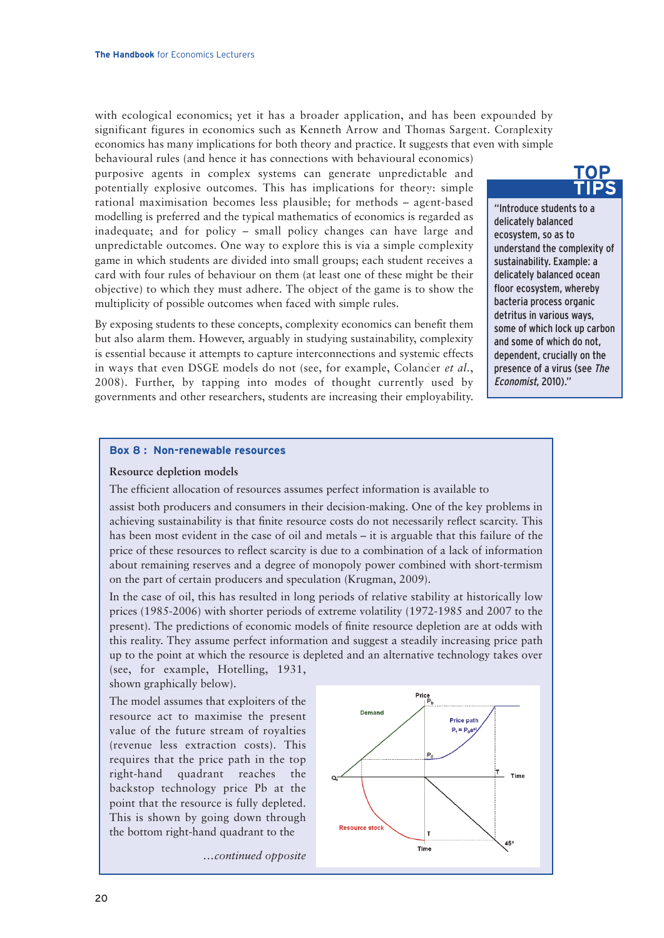with ecological economics; yet it has a broader application, and has been expounded by significant figures in economics such as Kenneth Arrow and Thomas Sargent. Complexity economics has many implications for both theory and practice. It suggests that even with simple

behavioural rules (and hence it has connections with behavioural economics) purposive agents in complex systems can generate unpredictable and potentially explosive outcomes. This has implications for theory: simple rational maximisation becomes less plausible; for methods – agent-based modelling is preferred and the typical mathematics of economics is regarded as inadequate; and for policy – small policy changes can have large and unpredictable outcomes. One way to explore this is via a simple complexity game in which students are divided into small groups; each student receives a card with four rules of behaviour on them (at least one of these might be their objective) to which they must adhere. The object of the game is to show the multiplicity of possible outcomes when faced with simple rules.

By exposing students to these concepts, complexity economics can benefit them but also alarm them. However, arguably in studying sustainability, complexity is essential because it attempts to capture interconnections and systemic effects in ways that even DSGE models do not (see, for example, Colander *et al.*, 2008). Further, by tapping into modes of thought currently used by governments and other researchers, students are increasing their employability.

**TOP TIPS**

"Introduce students to a delicately balanced ecosystem, so as to understand the complexity of sustainability. Example: a delicately balanced ocean floor ecosystem, whereby bacteria process organic detritus in various ways, some of which lock up carbon and some of which do not, dependent, crucially on the presence of a virus (see The Economist, 2010)."

#### **Box 8 : Non-renewable resources**

#### **Resource depletion models**

The efficient allocation of resources assumes perfect information is available to

assist both producers and consumers in their decision-making. One of the key problems in achieving sustainability is that finite resource costs do not necessarily reflect scarcity. This has been most evident in the case of oil and metals – it is arguable that this failure of the price of these resources to reflect scarcity is due to a combination of a lack of information about remaining reserves and a degree of monopoly power combined with short-termism on the part of certain producers and speculation (Krugman, 2009).

In the case of oil, this has resulted in long periods of relative stability at historically low prices (1985-2006) with shorter periods of extreme volatility (1972-1985 and 2007 to the present). The predictions of economic models of finite resource depletion are at odds with this reality. They assume perfect information and suggest a steadily increasing price path up to the point at which the resource is depleted and an alternative technology takes over

(see, for example, Hotelling, 1931, shown graphically below).

The model assumes that exploiters of the resource act to maximise the present value of the future stream of royalties (revenue less extraction costs). This requires that the price path in the top right-hand quadrant reaches the backstop technology price Pb at the point that the resource is fully depleted. This is shown by going down through the bottom right-hand quadrant to the

*…continued opposite*

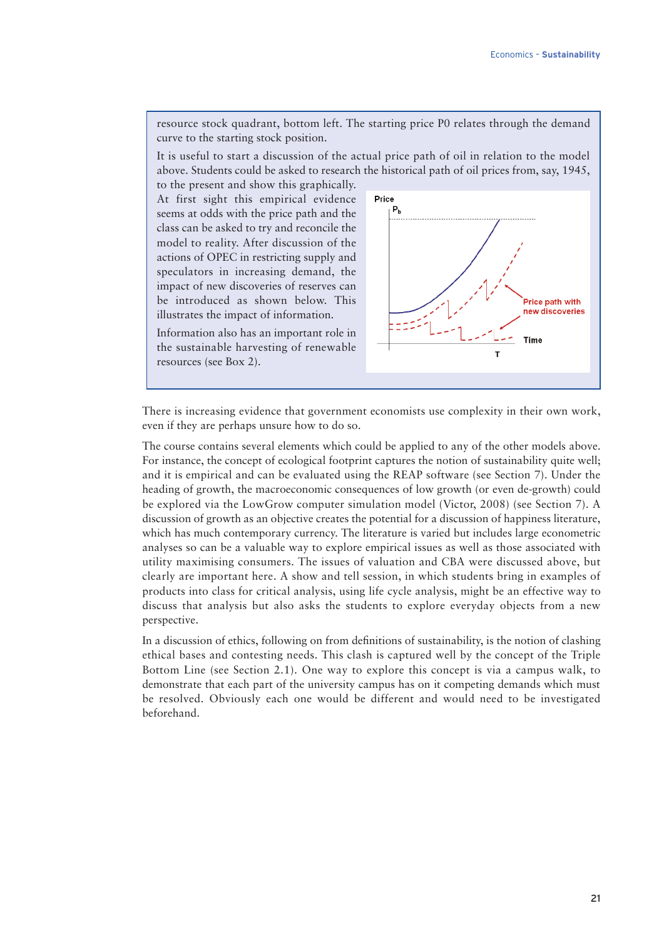resource stock quadrant, bottom left. The starting price P0 relates through the demand curve to the starting stock position.

It is useful to start a discussion of the actual price path of oil in relation to the model above. Students could be asked to research the historical path of oil prices from, say, 1945,

to the present and show this graphically. At first sight this empirical evidence seems at odds with the price path and the class can be asked to try and reconcile the model to reality. After discussion of the actions of OPEC in restricting supply and speculators in increasing demand, the impact of new discoveries of reserves can be introduced as shown below. This illustrates the impact of information.



Information also has an important role in the sustainable harvesting of renewable resources (see Box 2).

There is increasing evidence that government economists use complexity in their own work, even if they are perhaps unsure how to do so.

The course contains several elements which could be applied to any of the other models above. For instance, the concept of ecological footprint captures the notion of sustainability quite well; and it is empirical and can be evaluated using the REAP software (see Section 7). Under the heading of growth, the macroeconomic consequences of low growth (or even de-growth) could be explored via the LowGrow computer simulation model (Victor, 2008) (see Section 7). A discussion of growth as an objective creates the potential for a discussion of happiness literature, which has much contemporary currency. The literature is varied but includes large econometric analyses so can be a valuable way to explore empirical issues as well as those associated with utility maximising consumers. The issues of valuation and CBA were discussed above, but clearly are important here. A show and tell session, in which students bring in examples of products into class for critical analysis, using life cycle analysis, might be an effective way to discuss that analysis but also asks the students to explore everyday objects from a new perspective.

In a discussion of ethics, following on from definitions of sustainability, is the notion of clashing ethical bases and contesting needs. This clash is captured well by the concept of the Triple Bottom Line (see Section 2.1). One way to explore this concept is via a campus walk, to demonstrate that each part of the university campus has on it competing demands which must be resolved. Obviously each one would be different and would need to be investigated beforehand.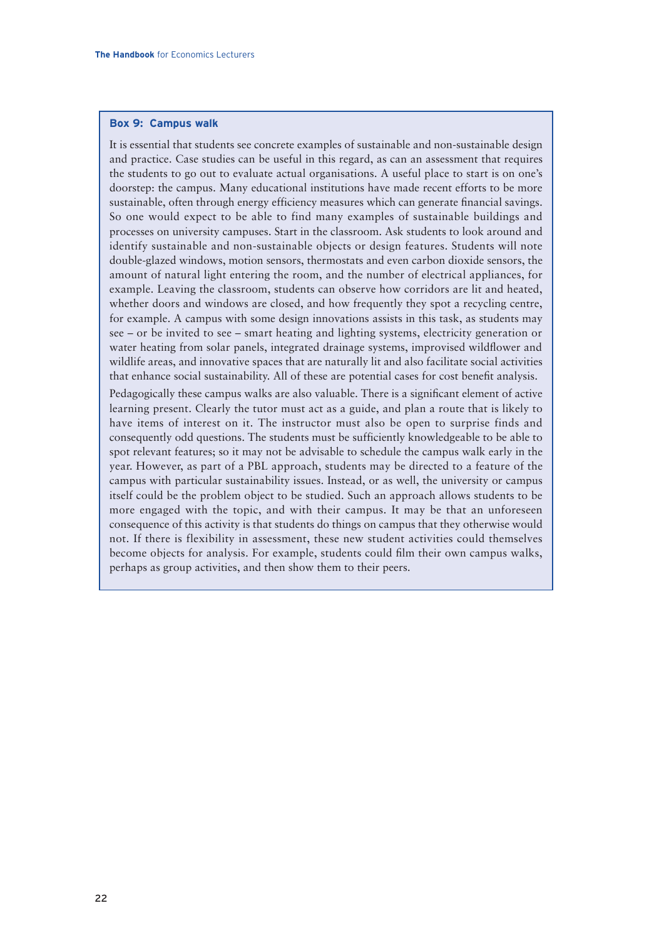#### **Box 9: Campus walk**

It is essential that students see concrete examples of sustainable and non-sustainable design and practice. Case studies can be useful in this regard, as can an assessment that requires the students to go out to evaluate actual organisations. A useful place to start is on one's doorstep: the campus. Many educational institutions have made recent efforts to be more sustainable, often through energy efficiency measures which can generate financial savings. So one would expect to be able to find many examples of sustainable buildings and processes on university campuses. Start in the classroom. Ask students to look around and identify sustainable and non-sustainable objects or design features. Students will note double-glazed windows, motion sensors, thermostats and even carbon dioxide sensors, the amount of natural light entering the room, and the number of electrical appliances, for example. Leaving the classroom, students can observe how corridors are lit and heated, whether doors and windows are closed, and how frequently they spot a recycling centre, for example. A campus with some design innovations assists in this task, as students may see – or be invited to see – smart heating and lighting systems, electricity generation or water heating from solar panels, integrated drainage systems, improvised wildflower and wildlife areas, and innovative spaces that are naturally lit and also facilitate social activities that enhance social sustainability. All of these are potential cases for cost benefit analysis.

Pedagogically these campus walks are also valuable. There is a significant element of active learning present. Clearly the tutor must act as a guide, and plan a route that is likely to have items of interest on it. The instructor must also be open to surprise finds and consequently odd questions. The students must be sufficiently knowledgeable to be able to spot relevant features; so it may not be advisable to schedule the campus walk early in the year. However, as part of a PBL approach, students may be directed to a feature of the campus with particular sustainability issues. Instead, or as well, the university or campus itself could be the problem object to be studied. Such an approach allows students to be more engaged with the topic, and with their campus. It may be that an unforeseen consequence of this activity is that students do things on campus that they otherwise would not. If there is flexibility in assessment, these new student activities could themselves become objects for analysis. For example, students could film their own campus walks, perhaps as group activities, and then show them to their peers.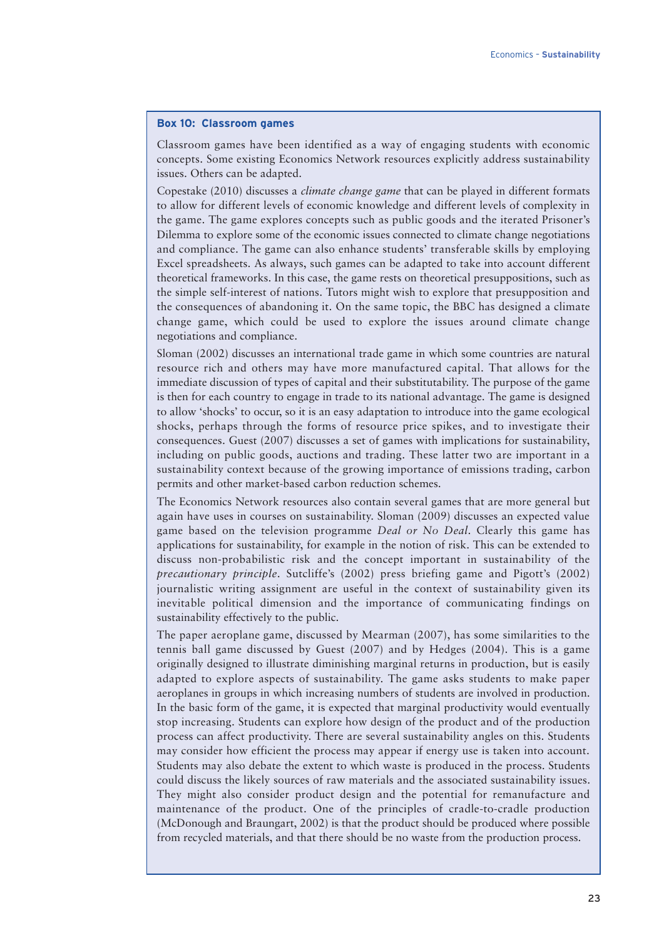#### **Box 10: Classroom games**

Classroom games have been identified as a way of engaging students with economic concepts. Some existing Economics Network resources explicitly address sustainability issues. Others can be adapted.

Copestake (2010) discusses a *climate change game* that can be played in different formats to allow for different levels of economic knowledge and different levels of complexity in the game. The game explores concepts such as public goods and the iterated Prisoner's Dilemma to explore some of the economic issues connected to climate change negotiations and compliance. The game can also enhance students' transferable skills by employing Excel spreadsheets. As always, such games can be adapted to take into account different theoretical frameworks. In this case, the game rests on theoretical presuppositions, such as the simple self-interest of nations. Tutors might wish to explore that presupposition and the consequences of abandoning it. On the same topic, the BBC has designed a climate change game, which could be used to explore the issues around climate change negotiations and compliance.

Sloman (2002) discusses an international trade game in which some countries are natural resource rich and others may have more manufactured capital. That allows for the immediate discussion of types of capital and their substitutability. The purpose of the game is then for each country to engage in trade to its national advantage. The game is designed to allow 'shocks' to occur, so it is an easy adaptation to introduce into the game ecological shocks, perhaps through the forms of resource price spikes, and to investigate their consequences. Guest (2007) discusses a set of games with implications for sustainability, including on public goods, auctions and trading. These latter two are important in a sustainability context because of the growing importance of emissions trading, carbon permits and other market-based carbon reduction schemes.

The Economics Network resources also contain several games that are more general but again have uses in courses on sustainability. Sloman (2009) discusses an expected value game based on the television programme *Deal or No Deal*. Clearly this game has applications for sustainability, for example in the notion of risk. This can be extended to discuss non-probabilistic risk and the concept important in sustainability of the *precautionary principle*. Sutcliffe's (2002) press briefing game and Pigott's (2002) journalistic writing assignment are useful in the context of sustainability given its inevitable political dimension and the importance of communicating findings on sustainability effectively to the public.

The paper aeroplane game, discussed by Mearman (2007), has some similarities to the tennis ball game discussed by Guest (2007) and by Hedges (2004). This is a game originally designed to illustrate diminishing marginal returns in production, but is easily adapted to explore aspects of sustainability. The game asks students to make paper aeroplanes in groups in which increasing numbers of students are involved in production. In the basic form of the game, it is expected that marginal productivity would eventually stop increasing. Students can explore how design of the product and of the production process can affect productivity. There are several sustainability angles on this. Students may consider how efficient the process may appear if energy use is taken into account. Students may also debate the extent to which waste is produced in the process. Students could discuss the likely sources of raw materials and the associated sustainability issues. They might also consider product design and the potential for remanufacture and maintenance of the product. One of the principles of cradle-to-cradle production (McDonough and Braungart, 2002) is that the product should be produced where possible from recycled materials, and that there should be no waste from the production process.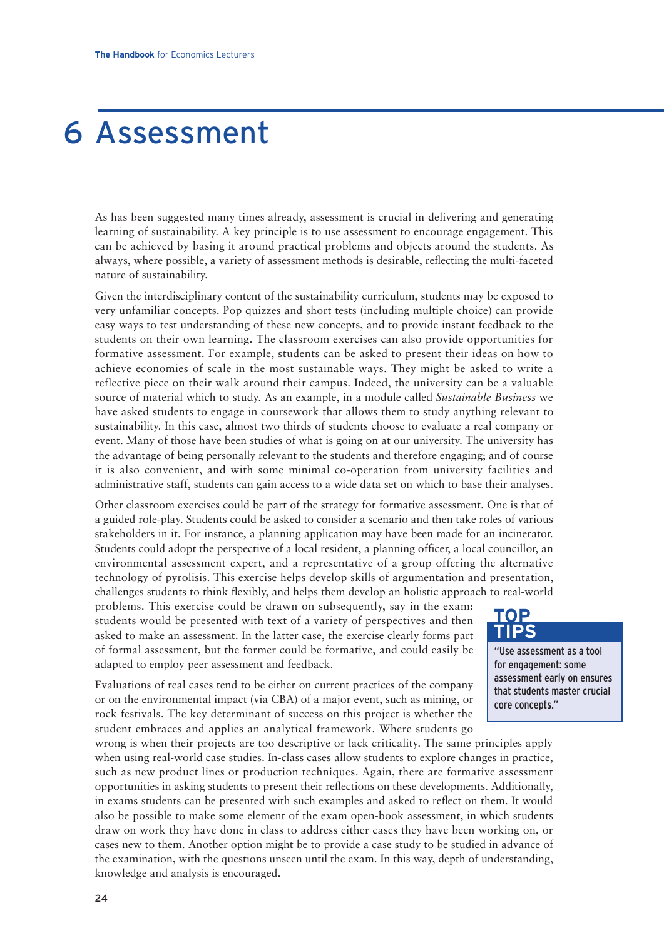# 6 Assessment

As has been suggested many times already, assessment is crucial in delivering and generating learning of sustainability. A key principle is to use assessment to encourage engagement. This can be achieved by basing it around practical problems and objects around the students. As always, where possible, a variety of assessment methods is desirable, reflecting the multi-faceted nature of sustainability.

Given the interdisciplinary content of the sustainability curriculum, students may be exposed to very unfamiliar concepts. Pop quizzes and short tests (including multiple choice) can provide easy ways to test understanding of these new concepts, and to provide instant feedback to the students on their own learning. The classroom exercises can also provide opportunities for formative assessment. For example, students can be asked to present their ideas on how to achieve economies of scale in the most sustainable ways. They might be asked to write a reflective piece on their walk around their campus. Indeed, the university can be a valuable source of material which to study. As an example, in a module called *Sustainable Business* we have asked students to engage in coursework that allows them to study anything relevant to sustainability. In this case, almost two thirds of students choose to evaluate a real company or event. Many of those have been studies of what is going on at our university. The university has the advantage of being personally relevant to the students and therefore engaging; and of course it is also convenient, and with some minimal co-operation from university facilities and administrative staff, students can gain access to a wide data set on which to base their analyses.

Other classroom exercises could be part of the strategy for formative assessment. One is that of a guided role-play. Students could be asked to consider a scenario and then take roles of various stakeholders in it. For instance, a planning application may have been made for an incinerator. Students could adopt the perspective of a local resident, a planning officer, a local councillor, an environmental assessment expert, and a representative of a group offering the alternative technology of pyrolisis. This exercise helps develop skills of argumentation and presentation, challenges students to think flexibly, and helps them develop an holistic approach to real-world

problems. This exercise could be drawn on subsequently, say in the exam: students would be presented with text of a variety of perspectives and then asked to make an assessment. In the latter case, the exercise clearly forms part of formal assessment, but the former could be formative, and could easily be adapted to employ peer assessment and feedback.

Evaluations of real cases tend to be either on current practices of the company or on the environmental impact (via CBA) of a major event, such as mining, or rock festivals. The key determinant of success on this project is whether the student embraces and applies an analytical framework. Where students go

### "Use assessment as a tool for engagement: some assessment early on ensures **TIPS**

**TOP**

that students master crucial core concepts."

wrong is when their projects are too descriptive or lack criticality. The same principles apply when using real-world case studies. In-class cases allow students to explore changes in practice, such as new product lines or production techniques. Again, there are formative assessment opportunities in asking students to present their reflections on these developments. Additionally, in exams students can be presented with such examples and asked to reflect on them. It would also be possible to make some element of the exam open-book assessment, in which students draw on work they have done in class to address either cases they have been working on, or cases new to them. Another option might be to provide a case study to be studied in advance of the examination, with the questions unseen until the exam. In this way, depth of understanding, knowledge and analysis is encouraged.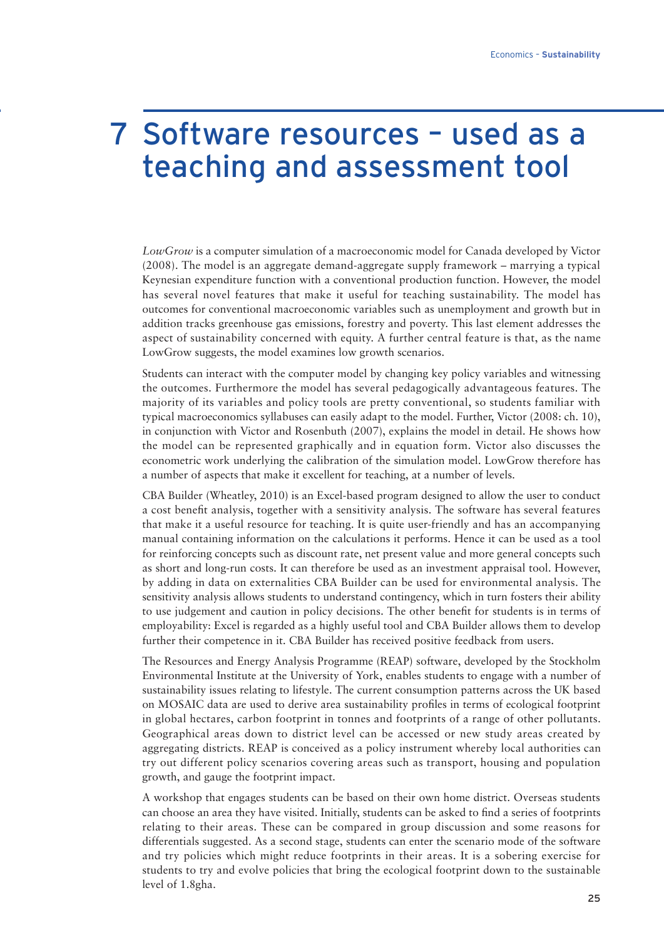### 7 Software resources – used as a teaching and assessment tool

*LowGrow* is a computer simulation of a macroeconomic model for Canada developed by Victor (2008). The model is an aggregate demand-aggregate supply framework – marrying a typical Keynesian expenditure function with a conventional production function. However, the model has several novel features that make it useful for teaching sustainability. The model has outcomes for conventional macroeconomic variables such as unemployment and growth but in addition tracks greenhouse gas emissions, forestry and poverty. This last element addresses the aspect of sustainability concerned with equity. A further central feature is that, as the name LowGrow suggests, the model examines low growth scenarios.

Students can interact with the computer model by changing key policy variables and witnessing the outcomes. Furthermore the model has several pedagogically advantageous features. The majority of its variables and policy tools are pretty conventional, so students familiar with typical macroeconomics syllabuses can easily adapt to the model. Further, Victor (2008: ch. 10), in conjunction with Victor and Rosenbuth (2007), explains the model in detail. He shows how the model can be represented graphically and in equation form. Victor also discusses the econometric work underlying the calibration of the simulation model. LowGrow therefore has a number of aspects that make it excellent for teaching, at a number of levels.

CBA Builder (Wheatley, 2010) is an Excel-based program designed to allow the user to conduct a cost benefit analysis, together with a sensitivity analysis. The software has several features that make it a useful resource for teaching. It is quite user-friendly and has an accompanying manual containing information on the calculations it performs. Hence it can be used as a tool for reinforcing concepts such as discount rate, net present value and more general concepts such as short and long-run costs. It can therefore be used as an investment appraisal tool. However, by adding in data on externalities CBA Builder can be used for environmental analysis. The sensitivity analysis allows students to understand contingency, which in turn fosters their ability to use judgement and caution in policy decisions. The other benefit for students is in terms of employability: Excel is regarded as a highly useful tool and CBA Builder allows them to develop further their competence in it. CBA Builder has received positive feedback from users.

The Resources and Energy Analysis Programme (REAP) software, developed by the Stockholm Environmental Institute at the University of York, enables students to engage with a number of sustainability issues relating to lifestyle. The current consumption patterns across the UK based on MOSAIC data are used to derive area sustainability profiles in terms of ecological footprint in global hectares, carbon footprint in tonnes and footprints of a range of other pollutants. Geographical areas down to district level can be accessed or new study areas created by aggregating districts. REAP is conceived as a policy instrument whereby local authorities can try out different policy scenarios covering areas such as transport, housing and population growth, and gauge the footprint impact.

A workshop that engages students can be based on their own home district. Overseas students can choose an area they have visited. Initially, students can be asked to find a series of footprints relating to their areas. These can be compared in group discussion and some reasons for differentials suggested. As a second stage, students can enter the scenario mode of the software and try policies which might reduce footprints in their areas. It is a sobering exercise for students to try and evolve policies that bring the ecological footprint down to the sustainable level of 1.8gha.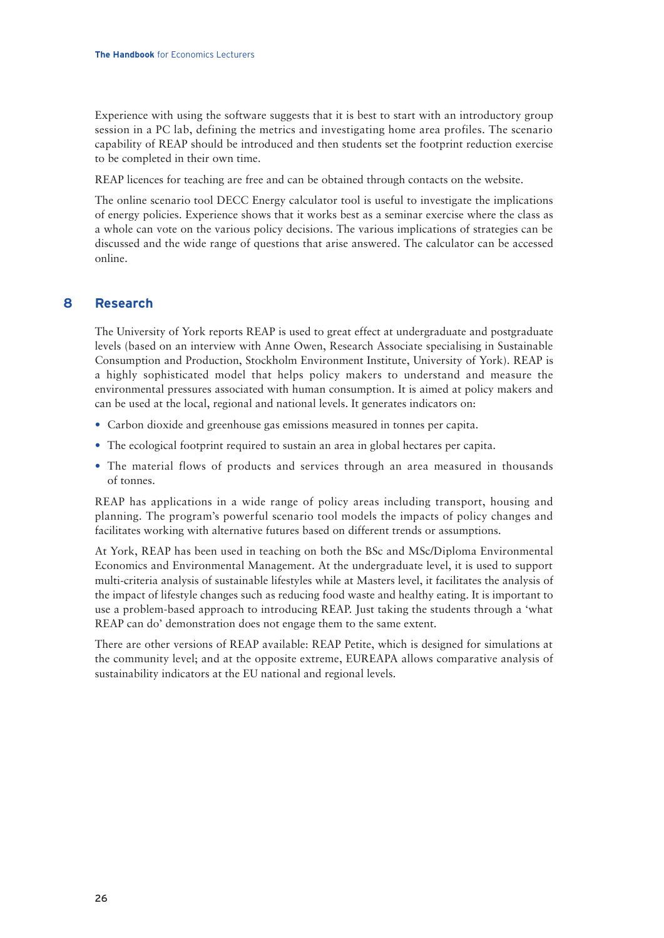Experience with using the software suggests that it is best to start with an introductory group session in a PC lab, defining the metrics and investigating home area profiles. The scenario capability of REAP should be introduced and then students set the footprint reduction exercise to be completed in their own time.

REAP licences for teaching are free and can be obtained through contacts on the website.

The online scenario tool DECC Energy calculator tool is useful to investigate the implications of energy policies. Experience shows that it works best as a seminar exercise where the class as a whole can vote on the various policy decisions. The various implications of strategies can be discussed and the wide range of questions that arise answered. The calculator can be accessed online.

### **8 Research**

The University of York reports REAP is used to great effect at undergraduate and postgraduate levels (based on an interview with Anne Owen, Research Associate specialising in Sustainable Consumption and Production, Stockholm Environment Institute, University of York). REAP is a highly sophisticated model that helps policy makers to understand and measure the environmental pressures associated with human consumption. It is aimed at policy makers and can be used at the local, regional and national levels. It generates indicators on:

- Carbon dioxide and greenhouse gas emissions measured in tonnes per capita.
- The ecological footprint required to sustain an area in global hectares per capita.
- The material flows of products and services through an area measured in thousands of tonnes.

REAP has applications in a wide range of policy areas including transport, housing and planning. The program's powerful scenario tool models the impacts of policy changes and facilitates working with alternative futures based on different trends or assumptions.

At York, REAP has been used in teaching on both the BSc and MSc/Diploma Environmental Economics and Environmental Management. At the undergraduate level, it is used to support multi-criteria analysis of sustainable lifestyles while at Masters level, it facilitates the analysis of the impact of lifestyle changes such as reducing food waste and healthy eating. It is important to use a problem-based approach to introducing REAP. Just taking the students through a 'what REAP can do' demonstration does not engage them to the same extent.

There are other versions of REAP available: REAP Petite, which is designed for simulations at the community level; and at the opposite extreme, EUREAPA allows comparative analysis of sustainability indicators at the EU national and regional levels.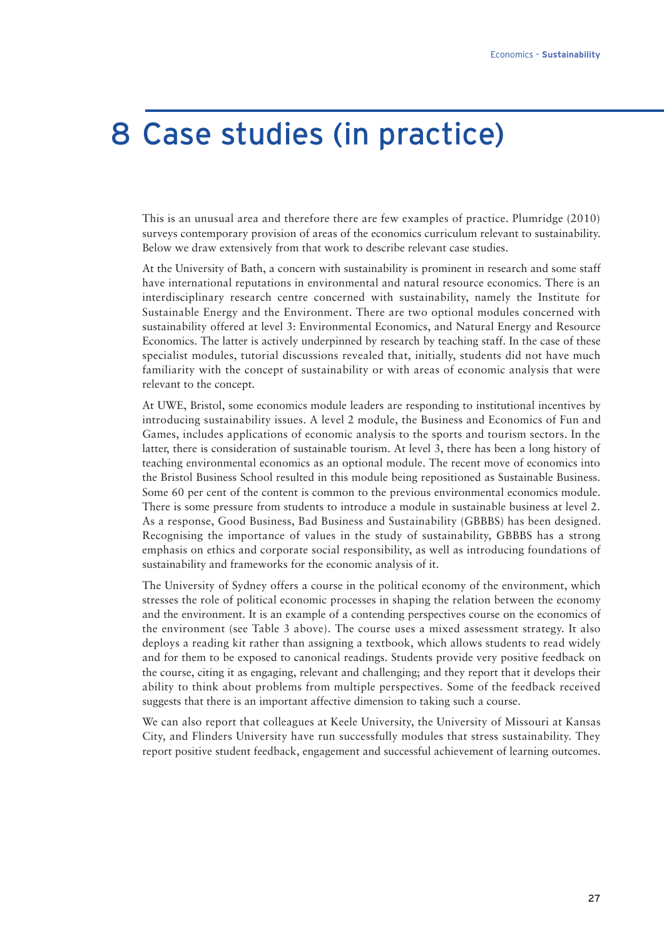### 8 Case studies (in practice)

This is an unusual area and therefore there are few examples of practice. Plumridge (2010) surveys contemporary provision of areas of the economics curriculum relevant to sustainability. Below we draw extensively from that work to describe relevant case studies.

At the University of Bath, a concern with sustainability is prominent in research and some staff have international reputations in environmental and natural resource economics. There is an interdisciplinary research centre concerned with sustainability, namely the Institute for Sustainable Energy and the Environment. There are two optional modules concerned with sustainability offered at level 3: Environmental Economics, and Natural Energy and Resource Economics. The latter is actively underpinned by research by teaching staff. In the case of these specialist modules, tutorial discussions revealed that, initially, students did not have much familiarity with the concept of sustainability or with areas of economic analysis that were relevant to the concept.

At UWE, Bristol, some economics module leaders are responding to institutional incentives by introducing sustainability issues. A level 2 module, the Business and Economics of Fun and Games, includes applications of economic analysis to the sports and tourism sectors. In the latter, there is consideration of sustainable tourism. At level 3, there has been a long history of teaching environmental economics as an optional module. The recent move of economics into the Bristol Business School resulted in this module being repositioned as Sustainable Business. Some 60 per cent of the content is common to the previous environmental economics module. There is some pressure from students to introduce a module in sustainable business at level 2. As a response, Good Business, Bad Business and Sustainability (GBBBS) has been designed. Recognising the importance of values in the study of sustainability, GBBBS has a strong emphasis on ethics and corporate social responsibility, as well as introducing foundations of sustainability and frameworks for the economic analysis of it.

The University of Sydney offers a course in the political economy of the environment, which stresses the role of political economic processes in shaping the relation between the economy and the environment. It is an example of a contending perspectives course on the economics of the environment (see Table 3 above). The course uses a mixed assessment strategy. It also deploys a reading kit rather than assigning a textbook, which allows students to read widely and for them to be exposed to canonical readings. Students provide very positive feedback on the course, citing it as engaging, relevant and challenging; and they report that it develops their ability to think about problems from multiple perspectives. Some of the feedback received suggests that there is an important affective dimension to taking such a course.

We can also report that colleagues at Keele University, the University of Missouri at Kansas City, and Flinders University have run successfully modules that stress sustainability. They report positive student feedback, engagement and successful achievement of learning outcomes.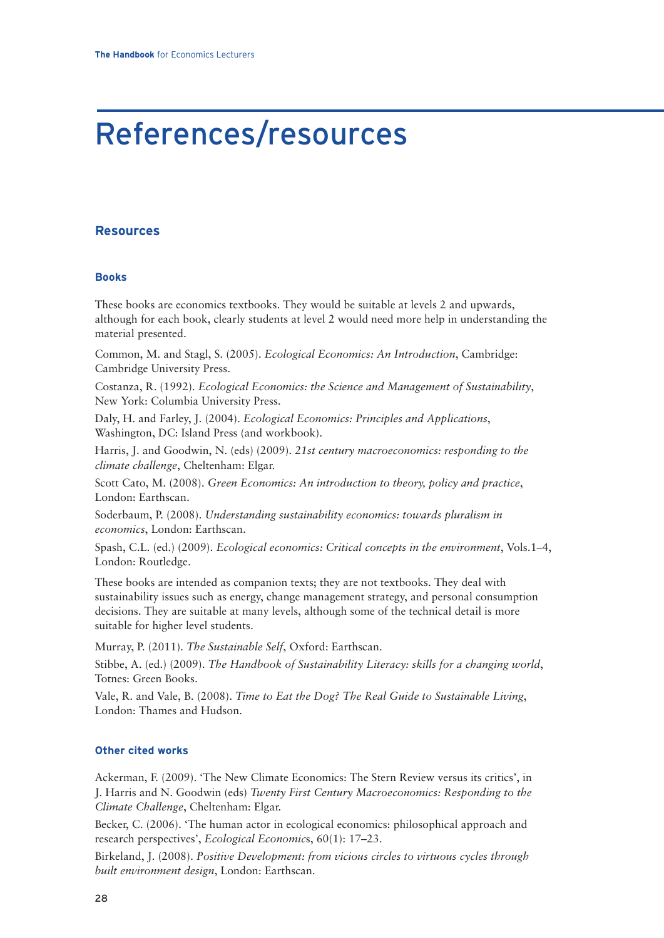# References/resources

### **Resources**

#### **Books**

These books are economics textbooks. They would be suitable at levels 2 and upwards, although for each book, clearly students at level 2 would need more help in understanding the material presented.

Common, M. and Stagl, S. (2005). *Ecological Economics: An Introduction*, Cambridge: Cambridge University Press.

Costanza, R. (1992). *Ecological Economics: the Science and Management of Sustainability*, New York: Columbia University Press.

Daly, H. and Farley, J. (2004). *Ecological Economics: Principles and Applications*, Washington, DC: Island Press (and workbook).

Harris, J. and Goodwin, N. (eds) (2009). *21st century macroeconomics: responding to the climate challenge*, Cheltenham: Elgar.

Scott Cato, M. (2008). *Green Economics: An introduction to theory, policy and practice*, London: Earthscan.

Soderbaum, P. (2008). *Understanding sustainability economics: towards pluralism in economics*, London: Earthscan.

Spash, C.L. (ed.) (2009). *Ecological economics: Critical concepts in the environment*, Vols.1–4, London: Routledge.

These books are intended as companion texts; they are not textbooks. They deal with sustainability issues such as energy, change management strategy, and personal consumption decisions. They are suitable at many levels, although some of the technical detail is more suitable for higher level students.

Murray, P. (2011). *The Sustainable Self*, Oxford: Earthscan.

Stibbe, A. (ed.) (2009). *The Handbook of Sustainability Literacy: skills for a changing world*, Totnes: Green Books.

Vale, R. and Vale, B. (2008). *Time to Eat the Dog? The Real Guide to Sustainable Living*, London: Thames and Hudson.

#### **Other cited works**

Ackerman, F. (2009). 'The New Climate Economics: The Stern Review versus its critics', in J. Harris and N. Goodwin (eds) *Twenty First Century Macroeconomics: Responding to the Climate Challenge*, Cheltenham: Elgar.

Becker, C. (2006). 'The human actor in ecological economics: philosophical approach and research perspectives', *Ecological Economic*s, 60(1): 17–23.

Birkeland, J. (2008). *Positive Development: from vicious circles to virtuous cycles through built environment design*, London: Earthscan.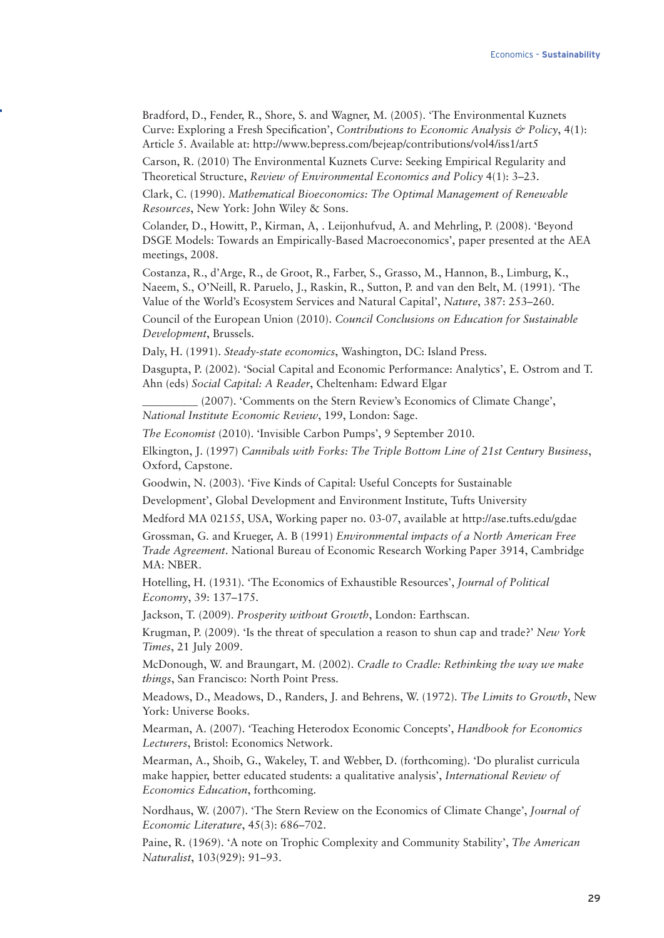Bradford, D., Fender, R., Shore, S. and Wagner, M. (2005). 'The Environmental Kuznets Curve: Exploring a Fresh Specification', *Contributions to Economic Analysis & Policy*, 4(1): Article 5. Available at: http://www.bepress.com/bejeap/contributions/vol4/iss1/art5

Carson, R. (2010) The Environmental Kuznets Curve: Seeking Empirical Regularity and Theoretical Structure, *Review of Environmental Economics and Policy* 4(1): 3–23.

Clark, C. (1990). *Mathematical Bioeconomics: The Optimal Management of Renewable Resources*, New York: John Wiley & Sons.

Colander, D., Howitt, P., Kirman, A, . Leijonhufvud, A. and Mehrling, P. (2008). 'Beyond DSGE Models: Towards an Empirically-Based Macroeconomics', paper presented at the AEA meetings, 2008.

Costanza, R., d'Arge, R., de Groot, R., Farber, S., Grasso, M., Hannon, B., Limburg, K., Naeem, S., O'Neill, R. Paruelo, J., Raskin, R., Sutton, P. and van den Belt, M. (1991). 'The Value of the World's Ecosystem Services and Natural Capital', *Nature*, 387: 253–260.

Council of the European Union (2010). *Council Conclusions on Education for Sustainable Development*, Brussels.

Daly, H. (1991). *Steady-state economics*, Washington, DC: Island Press.

Dasgupta, P. (2002). 'Social Capital and Economic Performance: Analytics', E. Ostrom and T. Ahn (eds) *Social Capital: A Reader*, Cheltenham: Edward Elgar

\_\_\_\_\_\_\_\_\_\_ (2007). 'Comments on the Stern Review's Economics of Climate Change', *National Institute Economic Review*, 199, London: Sage.

*The Economist* (2010). 'Invisible Carbon Pumps', 9 September 2010.

Elkington, J. (1997) *Cannibals with Forks: The Triple Bottom Line of 21st Century Business*, Oxford, Capstone.

Goodwin, N. (2003). 'Five Kinds of Capital: Useful Concepts for Sustainable

Development', Global Development and Environment Institute, Tufts University

Medford MA 02155, USA, Working paper no. 03-07, available at http://ase.tufts.edu/gdae

Grossman, G. and Krueger, A. B (1991) *Environmental impacts of a North American Free Trade Agreement*. National Bureau of Economic Research Working Paper 3914, Cambridge MA: NBER.

Hotelling, H. (1931). 'The Economics of Exhaustible Resources', *Journal of Political Economy*, 39: 137–175.

Jackson, T. (2009). *Prosperity without Growth*, London: Earthscan.

Krugman, P. (2009). 'Is the threat of speculation a reason to shun cap and trade?' *New York Times*, 21 July 2009.

McDonough, W. and Braungart, M. (2002). *Cradle to Cradle: Rethinking the way we make things*, San Francisco: North Point Press.

Meadows, D., Meadows, D., Randers, J. and Behrens, W. (1972). *The Limits to Growth*, New York: Universe Books.

Mearman, A. (2007). 'Teaching Heterodox Economic Concepts', *Handbook for Economics Lecturers*, Bristol: Economics Network.

Mearman, A., Shoib, G., Wakeley, T. and Webber, D. (forthcoming). 'Do pluralist curricula make happier, better educated students: a qualitative analysis', *International Review of Economics Education*, forthcoming.

Nordhaus, W. (2007). 'The Stern Review on the Economics of Climate Change', *Journal of Economic Literature*, 45(3): 686–702.

Paine, R. (1969). 'A note on Trophic Complexity and Community Stability', *The American Naturalist*, 103(929): 91–93.